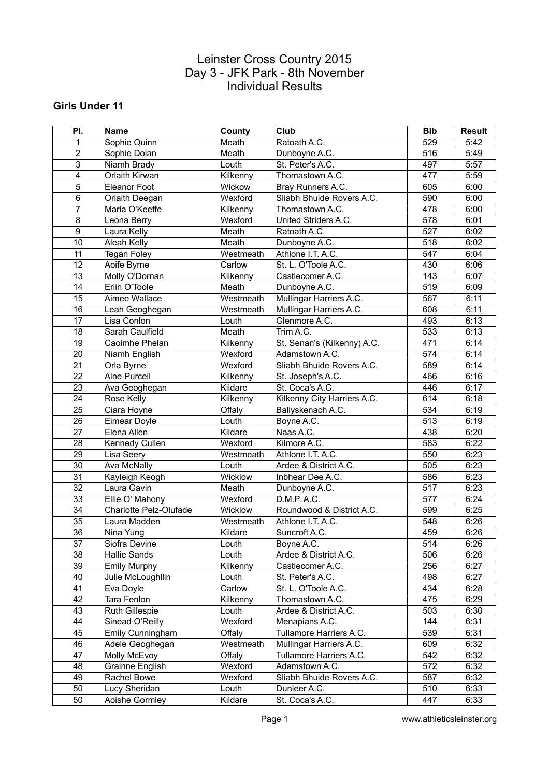#### **Girls Under 11**

| PI.            | Name                   | County    | <b>Club</b>                 | <b>Bib</b> | Result |
|----------------|------------------------|-----------|-----------------------------|------------|--------|
| $\mathbf{1}$   | Sophie Quinn           | Meath     | Ratoath A.C.                | 529        | 5:42   |
| $\overline{2}$ | Sophie Dolan           | Meath     | Dunboyne A.C.               | 516        | 5:49   |
| 3              | Niamh Brady            | Louth     | St. Peter's A.C.            | 497        | 5:57   |
| 4              | Orlaith Kirwan         | Kilkenny  | Thomastown A.C.             | 477        | 5:59   |
| 5              | Eleanor Foot           | Wickow    | Bray Runners A.C.           | 605        | 6:00   |
| 6              | Orlaith Deegan         | Wexford   | Sliabh Bhuide Rovers A.C.   | 590        | 6:00   |
| $\overline{7}$ | Maria O'Keeffe         | Kilkenny  | Thomastown A.C.             | 478        | 6:00   |
| 8              | Leona Berry            | Wexford   | United Striders A.C.        | 578        | 6:01   |
| 9              | Laura Kelly            | Meath     | Ratoath A.C.                | 527        | 6:02   |
| 10             | Aleah Kelly            | Meath     | Dunboyne A.C.               | 518        | 6:02   |
| 11             | <b>Tegan Foley</b>     | Westmeath | Athlone I.T. A.C.           | 547        | 6:04   |
| 12             | Aoife Byrne            | Carlow    | St. L. O'Toole A.C.         | 430        | 6:06   |
| 13             | Molly O'Dornan         | Kilkenny  | Castlecomer A.C.            | 143        | 6:07   |
| 14             | Eriin O'Toole          | Meath     | Dunboyne A.C.               | 519        | 6:09   |
| 15             | Aimee Wallace          | Westmeath | Mullingar Harriers A.C.     | 567        | 6:11   |
| 16             | Leah Geoghegan         | Westmeath | Mullingar Harriers A.C.     | 608        | 6:11   |
| 17             | Lisa Conlon            | Louth     | Glenmore A.C.               | 493        | 6:13   |
| 18             | Sarah Caulfield        | Meath     | Trim A.C.                   | 533        | 6:13   |
| 19             | Caoimhe Phelan         | Kilkenny  | St. Senan's (Kilkenny) A.C. | 471        | 6:14   |
| 20             | Niamh English          | Wexford   | Adamstown A.C.              | 574        | 6:14   |
| 21             | Orla Byrne             | Wexford   | Sliabh Bhuide Rovers A.C.   | 589        | 6:14   |
| 22             | Aine Purcell           | Kilkenny  | St. Joseph's A.C.           | 466        | 6:16   |
| 23             | Ava Geoghegan          | Kildare   | St. Coca's A.C.             | 446        | 6:17   |
| 24             | Rose Kelly             | Kilkenny  | Kilkenny City Harriers A.C. | 614        | 6:18   |
| 25             | Ciara Hoyne            | Offaly    | Ballyskenach A.C.           | 534        | 6:19   |
| 26             | Eimear Doyle           | Louth     | Boyne A.C.                  | 513        | 6:19   |
| 27             | Elena Allen            | Kildare   | Naas A.C.                   | 438        | 6:20   |
| 28             | Kennedy Cullen         | Wexford   | Kilmore A.C.                | 583        | 6:22   |
| 29             | Lisa Seery             | Westmeath | Athlone I.T. A.C.           | 550        | 6:23   |
| 30             | Ava McNally            | Louth     | Ardee & District A.C.       | 505        | 6:23   |
| 31             | Kayleigh Keogh         | Wicklow   | Inbhear Dee A.C.            | 586        | 6:23   |
| 32             | Laura Gavin            | Meath     | Dunboyne A.C.               | 517        | 6:23   |
| 33             | Ellie O' Mahony        | Wexford   | D.M.P. A.C.                 | 577        | 6:24   |
| 34             | Charlotte Pelz-Olufade | Wicklow   | Roundwood & District A.C.   | 599        | 6:25   |
| 35             | Laura Madden           | Westmeath | Athlone I.T. A.C.           | 548        | 6:26   |
| 36             | Nina Yung              | Kildare   | Suncroft A.C.               | 459        | 6:26   |
| 37             | Siofra Devine          | Louth     | Boyne A.C.                  | 514        | 6:26   |
| 38             | Hallie Sands           | Louth     | Ardee & District A.C.       | 506        | 6:26   |
| 39             | <b>Emily Murphy</b>    | Kilkenny  | Castlecomer A.C.            | 256        | 6:27   |
| 40             | Julie McLoughllin      | Louth     | St. Peter's A.C.            | 498        | 6:27   |
| 41             | Eva Doyle              | Carlow    | St. L. O'Toole A.C.         | 434        | 6:28   |
| 42             | Tara Fenlon            | Kilkenny  | Thomastown A.C.             | 475        | 6:29   |
| 43             | Ruth Gillespie         | Louth     | Ardee & District A.C.       | 503        | 6:30   |
| 44             | Sinead O'Reilly        | Wexford   | Menapians A.C.              | 144        | 6:31   |
| 45             | Emily Cunningham       | Offaly    | Tullamore Harriers A.C.     | 539        | 6:31   |
| 46             | Adele Geoghegan        | Westmeath | Mullingar Harriers A.C.     | 609        | 6:32   |
| 47             | Molly McEvoy           | Offaly    | Tullamore Harriers A.C.     | 542        | 6:32   |
| 48             | Grainne English        | Wexford   | Adamstown A.C.              | 572        | 6:32   |
| 49             | Rachel Bowe            | Wexford   | Sliabh Bhuide Rovers A.C.   | 587        | 6:32   |
| 50             | Lucy Sheridan          | Louth     | Dunleer A.C.                | 510        | 6:33   |
| 50             | Aoishe Gormley         | Kildare   | St. Coca's A.C.             | 447        | 6:33   |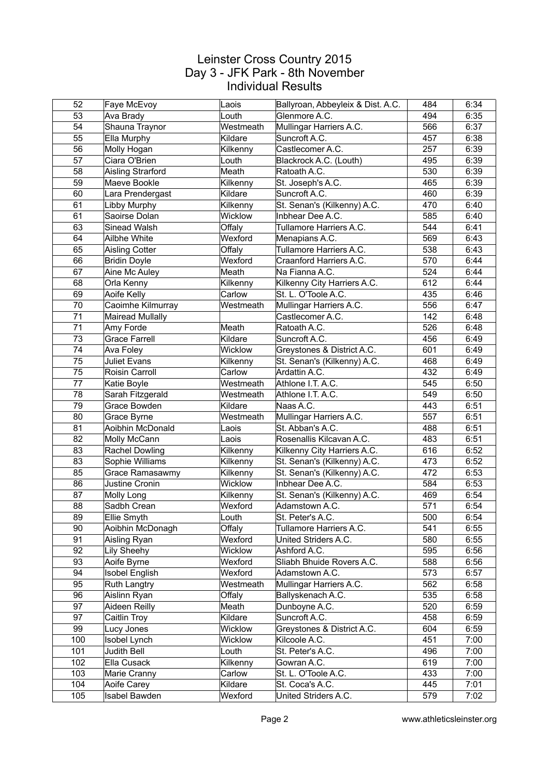| 52  | Faye McEvoy          | Laois     | Ballyroan, Abbeyleix & Dist. A.C. | 484 | 6:34 |
|-----|----------------------|-----------|-----------------------------------|-----|------|
| 53  | Ava Brady            | Louth     | Glenmore A.C.                     | 494 | 6:35 |
| 54  | Shauna Traynor       | Westmeath | Mullingar Harriers A.C.           | 566 | 6:37 |
| 55  | Ella Murphy          | Kildare   | Suncroft A.C.                     | 457 | 6:38 |
| 56  | Molly Hogan          | Kilkenny  | Castlecomer A.C.                  | 257 | 6:39 |
| 57  | Ciara O'Brien        | Louth     | Blackrock A.C. (Louth)            | 495 | 6:39 |
| 58  | Aisling Strarford    | Meath     | Ratoath A.C.                      | 530 | 6:39 |
| 59  | Maeve Bookle         | Kilkenny  | St. Joseph's A.C.                 | 465 | 6:39 |
| 60  | Lara Prendergast     | Kildare   | Suncroft A.C.                     | 460 | 6:39 |
| 61  | Libby Murphy         | Kilkenny  | St. Senan's (Kilkenny) A.C.       | 470 | 6:40 |
| 61  | Saoirse Dolan        | Wicklow   | Inbhear Dee A.C.                  | 585 | 6:40 |
| 63  | Sinead Walsh         | Offaly    | Tullamore Harriers A.C.           | 544 | 6:41 |
| 64  | Ailbhe White         | Wexford   | Menapians A.C.                    | 569 | 6:43 |
| 65  | Aisling Cotter       | Offaly    | Tullamore Harriers A.C.           | 538 | 6:43 |
| 66  | <b>Bridin Doyle</b>  | Wexford   | Craanford Harriers A.C.           | 570 | 6:44 |
| 67  | Aine Mc Auley        | Meath     | Na Fianna A.C.                    | 524 | 6:44 |
| 68  | Orla Kenny           | Kilkenny  | Kilkenny City Harriers A.C.       | 612 | 6:44 |
| 69  | Aoife Kelly          | Carlow    | St. L. O'Toole A.C.               | 435 | 6:46 |
| 70  | Caoimhe Kilmurray    | Westmeath | Mullingar Harriers A.C.           | 556 | 6:47 |
| 71  | Mairead Mullally     |           | Castlecomer A.C.                  | 142 | 6:48 |
| 71  | Amy Forde            | Meath     | Ratoath A.C.                      | 526 | 6:48 |
| 73  | <b>Grace Farrell</b> | Kildare   | Suncroft A.C.                     | 456 | 6:49 |
| 74  | Ava Foley            | Wicklow   | Greystones & District A.C.        | 601 | 6:49 |
| 75  | <b>Juliet Evans</b>  | Kilkenny  | St. Senan's (Kilkenny) A.C.       | 468 | 6:49 |
| 75  | Roisin Carroll       | Carlow    | Ardattin A.C.                     | 432 | 6:49 |
| 77  | Katie Boyle          | Westmeath | Athlone I.T. A.C.                 | 545 | 6:50 |
| 78  | Sarah Fitzgerald     | Westmeath | Athlone I.T. A.C.                 | 549 | 6:50 |
| 79  | Grace Bowden         | Kildare   | Naas A.C.                         | 443 | 6:51 |
| 80  | Grace Byrne          | Westmeath | Mullingar Harriers A.C.           | 557 | 6:51 |
| 81  | Aoibhin McDonald     | Laois     | St. Abban's A.C.                  | 488 | 6:51 |
| 82  | Molly McCann         | Laois     | Rosenallis Kilcavan A.C.          | 483 | 6:51 |
| 83  | Rachel Dowling       | Kilkenny  | Kilkenny City Harriers A.C.       | 616 | 6:52 |
| 83  | Sophie Williams      | Kilkenny  | St. Senan's (Kilkenny) A.C.       | 473 | 6:52 |
| 85  | Grace Ramasawmy      | Kilkenny  | St. Senan's (Kilkenny) A.C.       | 472 | 6:53 |
| 86  | Justine Cronin       | Wicklow   | Inbhear Dee A.C.                  | 584 | 6:53 |
| 87  | Molly Long           | Kilkenny  | St. Senan's (Kilkenny) A.C.       | 469 | 6:54 |
| 88  | Sadbh Crean          | Wexford   | Adamstown A.C.                    | 571 | 6:54 |
| 89  | Ellie Smyth          | Louth     | St. Peter's A.C.                  | 500 | 6:54 |
| 90  | Aoibhin McDonagh     | Offaly    | Tullamore Harriers A.C.           | 541 | 6:55 |
| 91  | Aisling Ryan         | Wexford   | United Striders A.C.              | 580 | 6:55 |
| 92  | Lily Sheehy          | Wicklow   | Ashford A.C.                      | 595 | 6:56 |
| 93  | Aoife Byrne          | Wexford   | Sliabh Bhuide Rovers A.C.         | 588 | 6:56 |
| 94  | Isobel English       | Wexford   | Adamstown A.C.                    | 573 | 6:57 |
| 95  | Ruth Langtry         | Westmeath | Mullingar Harriers A.C.           | 562 | 6:58 |
| 96  | Aislinn Ryan         | Offaly    | Ballyskenach A.C.                 | 535 | 6:58 |
| 97  | Aideen Reilly        | Meath     | Dunboyne A.C.                     | 520 | 6:59 |
| 97  | Caitlin Troy         | Kildare   | Suncroft A.C.                     | 458 | 6:59 |
| 99  | Lucy Jones           | Wicklow   | Greystones & District A.C.        | 604 | 6:59 |
| 100 | Isobel Lynch         | Wicklow   | Kilcoole A.C.                     | 451 | 7:00 |
| 101 | Judith Bell          | Louth     | St. Peter's A.C.                  | 496 | 7:00 |
| 102 | Ella Cusack          | Kilkenny  | Gowran A.C.                       | 619 | 7:00 |
| 103 | Marie Cranny         | Carlow    | St. L. O'Toole A.C.               | 433 | 7:00 |
| 104 | Aoife Carey          | Kildare   | St. Coca's A.C.                   | 445 | 7:01 |
| 105 | Isabel Bawden        | Wexford   | United Striders A.C.              | 579 | 7:02 |
|     |                      |           |                                   |     |      |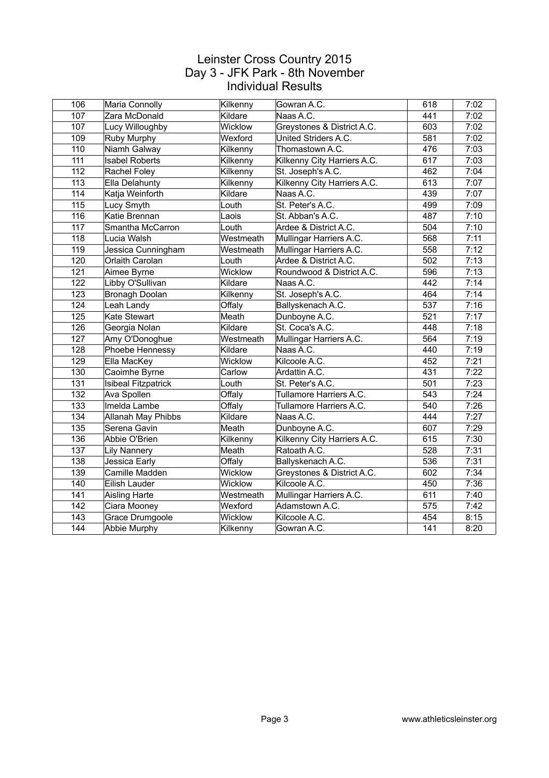| 106              | Maria Connolly             | Kilkenny  | Gowran A.C.                 | 618              | 7:02 |
|------------------|----------------------------|-----------|-----------------------------|------------------|------|
| 107              | Zara McDonald              | Kildare   | Naas A.C.                   | 441              | 7:02 |
| 107              | Lucy Willoughby            | Wicklow   | Greystones & District A.C.  | 603              | 7:02 |
| 109              | Ruby Murphy                | Wexford   | United Striders A.C.        | 581              | 7:02 |
| 110              | Niamh Galway               | Kilkenny  | Thomastown A.C.             | 476              | 7:03 |
| 111              | <b>Isabel Roberts</b>      | Kilkenny  | Kilkenny City Harriers A.C. | 617              | 7:03 |
| 112              | Rachel Foley               | Kilkenny  | St. Joseph's A.C.           | 462              | 7:04 |
| 113              | Ella Delahunty             | Kilkenny  | Kilkenny City Harriers A.C. | 613              | 7:07 |
| 114              | Katja Weinforth            | Kildare   | Naas A.C.                   | 439              | 7:07 |
| 115              | Lucy Smyth                 | Louth     | St. Peter's A.C.            | 499              | 7:09 |
| 116              | Katie Brennan              | Laois     | St. Abban's A.C.            | 487              | 7:10 |
| $\overline{117}$ | Smantha McCarron           | Louth     | Ardee & District A.C.       | 504              | 7:10 |
| 118              | Lucia Walsh                | Westmeath | Mullingar Harriers A.C.     | 568              | 7:11 |
| 119              | Jessica Cunningham         | Westmeath | Mullingar Harriers A.C.     | 558              | 7:12 |
| 120              | Orlaith Carolan            | Louth     | Ardee & District A.C.       | 502              | 7:13 |
| 121              | Aimee Byrne                | Wicklow   | Roundwood & District A.C.   | 596              | 7:13 |
| 122              | Libby O'Sullivan           | Kildare   | Naas A.C.                   | 442              | 7:14 |
| 123              | Bronagh Doolan             | Kilkenny  | St. Joseph's A.C.           | 464              | 7:14 |
| 124              | Leah Landy                 | Offaly    | Ballyskenach A.C.           | 537              | 7:16 |
| 125              | Kate Stewart               | Meath     | Dunboyne A.C.               | 521              | 7:17 |
| 126              | Georgia Nolan              | Kildare   | St. Coca's A.C.             | 448              | 7:18 |
| 127              | Amy O'Donoghue             | Westmeath | Mullingar Harriers A.C.     | 564              | 7:19 |
| 128              | Phoebe Hennessy            | Kildare   | Naas A.C.                   | 440              | 7:19 |
| 129              | Ella MacKey                | Wicklow   | Kilcoole A.C.               | 452              | 7:21 |
| 130              | Caoimhe Byrne              | Carlow    | Ardattin A.C.               | 431              | 7:22 |
| 131              | <b>Isibeal Fitzpatrick</b> | Louth     | St. Peter's A.C.            | 501              | 7:23 |
| 132              | Ava Spollen                | Offaly    | Tullamore Harriers A.C.     | 543              | 7:24 |
| $\overline{133}$ | Imelda Lambe               | Offaly    | Tullamore Harriers A.C.     | $\overline{540}$ | 7:26 |
| 134              | Allanah May Phibbs         | Kildare   | Naas A.C.                   | 444              | 7:27 |
| 135              | Serena Gavin               | Meath     | Dunboyne A.C.               | 607              | 7:29 |
| 136              | Abbie O'Brien              | Kilkenny  | Kilkenny City Harriers A.C. | 615              | 7:30 |
| 137              | <b>Lily Nannery</b>        | Meath     | Ratoath A.C.                | 528              | 7:31 |
| 138              | Jessica Early              | Offaly    | Ballyskenach A.C.           | 536              | 7:31 |
| 139              | Camille Madden             | Wicklow   | Greystones & District A.C.  | 602              | 7:34 |
| 140              | Eilish Lauder              | Wicklow   | Kilcoole A.C.               | 450              | 7:36 |
| 141              | Aisling Harte              | Westmeath | Mullingar Harriers A.C.     | 611              | 7:40 |
| 142              | Ciara Mooney               | Wexford   | Adamstown A.C.              | 575              | 7:42 |
| 143              | Grace Drumgoole            | Wicklow   | Kilcoole A.C.               | 454              | 8:15 |
| 144              | Abbie Murphy               | Kilkenny  | Gowran A.C.                 | 141              | 8:20 |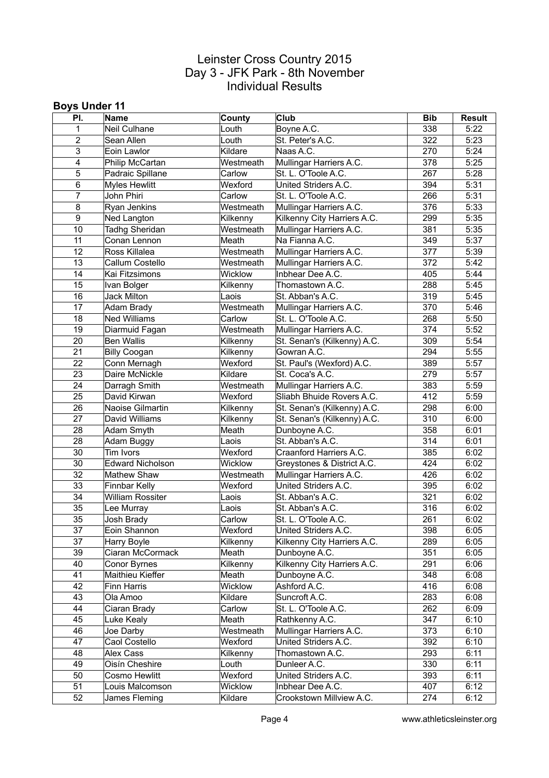#### **Boys Under 11**

| PI.            | Name                    | County            | Club                        | <b>Bib</b> | <b>Result</b> |
|----------------|-------------------------|-------------------|-----------------------------|------------|---------------|
| $\mathbf{1}$   | Neil Culhane            | Louth             | Boyne A.C.                  | 338        | 5:22          |
| $\overline{2}$ | Sean Allen              | Louth             | St. Peter's A.C.            | 322        | 5:23          |
| 3              | Eoin Lawlor             | Kildare           | Naas A.C.                   | 270        | 5:24          |
| 4              | Philip McCartan         | Westmeath         | Mullingar Harriers A.C.     | 378        | 5:25          |
| 5              | Padraic Spillane        | Carlow            | St. L. O'Toole A.C.         | 267        | 5:28          |
| 6              | <b>Myles Hewlitt</b>    | Wexford           | United Striders A.C.        | 394        | 5:31          |
| $\overline{7}$ | John Phiri              | Carlow            | St. L. O'Toole A.C.         | 266        | 5:31          |
| 8              | Ryan Jenkins            | Westmeath         | Mullingar Harriers A.C.     | 376        | 5:33          |
| 9              | Ned Langton             | Kilkenny          | Kilkenny City Harriers A.C. | 299        | 5:35          |
| 10             | <b>Tadhg Sheridan</b>   | Westmeath         | Mullingar Harriers A.C.     | 381        | 5:35          |
| 11             | Conan Lennon            | Meath             | Na Fianna A.C.              | 349        | 5:37          |
| 12             | Ross Killalea           | Westmeath         | Mullingar Harriers A.C.     | 377        | 5:39          |
| 13             | Callum Costello         | Westmeath         | Mullingar Harriers A.C.     | 372        | 5:42          |
| 14             | Kai Fitzsimons          | Wicklow           | Inbhear Dee A.C.            | 405        | 5:44          |
| 15             | Ivan Bolger             | Kilkenny          | Thomastown A.C.             | 288        | 5:45          |
| 16             | Jack Milton             | Laois             | St. Abban's A.C.            | 319        | 5:45          |
| 17             | Adam Brady              | Westmeath         | Mullingar Harriers A.C.     | 370        | 5:46          |
| 18             | <b>Ned Williams</b>     | Carlow            | St. L. O'Toole A.C.         | 268        | 5:50          |
| 19             | Diarmuid Fagan          | Westmeath         | Mullingar Harriers A.C.     | 374        | 5:52          |
| 20             | <b>Ben Wallis</b>       | Kilkenny          | St. Senan's (Kilkenny) A.C. | 309        | 5:54          |
| 21             | <b>Billy Coogan</b>     | Kilkenny          | Gowran A.C.                 | 294        | 5:55          |
| 22             | Conn Mernagh            | Wexford           | St. Paul's (Wexford) A.C.   | 389        | 5:57          |
| 23             | Daire McNickle          | Kildare           | St. Coca's A.C.             | 279        | 5:57          |
| 24             | Darragh Smith           | Westmeath         | Mullingar Harriers A.C.     | 383        | 5:59          |
| 25             | David Kirwan            | Wexford           | Sliabh Bhuide Rovers A.C.   | 412        | 5:59          |
| 26             | Naoise Gilmartin        | Kilkenny          | St. Senan's (Kilkenny) A.C. | 298        | 6:00          |
| 27             | David Williams          | Kilkenny          | St. Senan's (Kilkenny) A.C. | 310        | 6:00          |
| 28             | Adam Smyth              | Meath             | Dunboyne A.C.               | 358        | 6:01          |
| 28             | Adam Buggy              | Laois             | St. Abban's A.C.            | 314        | 6:01          |
| 30             | Tim Ivors               | Wexford           | Craanford Harriers A.C.     | 385        | 6:02          |
| 30             | <b>Edward Nicholson</b> | Wicklow           | Greystones & District A.C.  | 424        | 6:02          |
| 32             | Mathew Shaw             | Westmeath         | Mullingar Harriers A.C.     | 426        | 6:02          |
| 33             | Finnbar Kelly           | Wexford           | United Striders A.C.        | 395        | 6:02          |
| 34             | <b>William Rossiter</b> | Laois             | St. Abban's A.C.            | 321        | 6:02          |
| 35             | Lee Murray              | Laois             | St. Abban's A.C.            | 316        | 6:02          |
| 35             | Josh Brady              | Carlow            | St. L. O'Toole A.C.         | 261        | 6:02          |
| 37             | Eoin Shannon            | Wexford           | United Striders A.C.        | 398        | 6:05          |
| 37             | Harry Boyle             | Kilkenny          | Kilkenny City Harriers A.C. | 289        | 6:05          |
| 39             | Ciaran McCormack        | Meath             | Dunboyne A.C.               | 351        | 6:05          |
| 40             | Conor Byrnes            | Kilkenny          | Kilkenny City Harriers A.C. | 291        | 6:06          |
| 41             | Maithieu Kieffer        | Meath             | Dunboyne A.C.               | 348        | 6:08          |
| 42             | Finn Harris             | Wicklow           | Ashford A.C.                | 416        | 6:08          |
| 43             | Ola Amoo                | Kildare           | Suncroft A.C.               | 283        | 6:08          |
| 44             | Ciaran Brady            | Carlow            | St. L. O'Toole A.C.         | 262        | 6:09          |
| 45             | Luke Kealy              | Meath             | Rathkenny A.C.              | 347        | 6:10          |
| 46             | Joe Darby               | Westmeath         | Mullingar Harriers A.C.     | 373        | 6:10          |
| 47             | Caol Costello           | Wexford           | United Striders A.C.        | 392        | 6:10          |
| 48             |                         |                   |                             | 293        | 6:11          |
| 49             | <b>Alex Cass</b>        | Kilkenny<br>Louth | Thomastown A.C.             | 330        |               |
|                | Oisín Cheshire          |                   | Dunleer A.C.                | 393        | 6:11          |
| 50             | Cosmo Hewlitt           | Wexford           | United Striders A.C.        |            | 6:11          |
| 51             | Louis Malcomson         | Wicklow           | Inbhear Dee A.C.            | 407        | 6:12          |
| 52             | James Fleming           | Kildare           | Crookstown Millview A.C.    | 274        | 6:12          |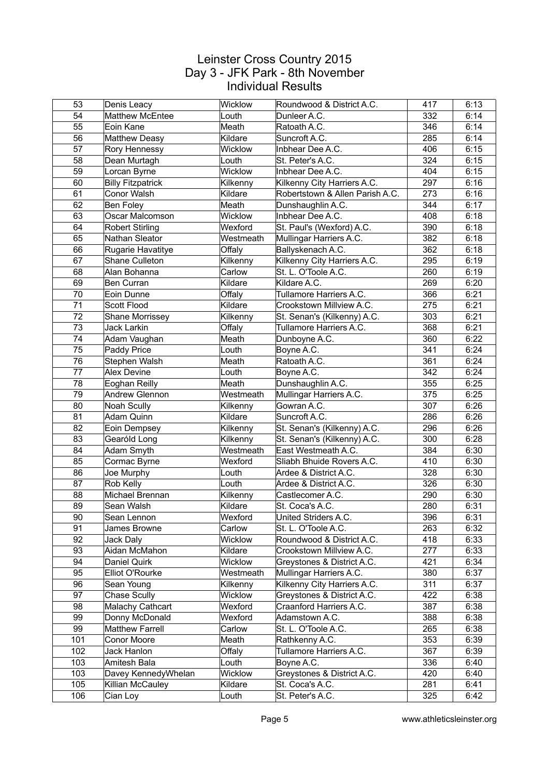| 53  | Denis Leacy              | Wicklow        | Roundwood & District A.C.       | 417 | 6:13 |
|-----|--------------------------|----------------|---------------------------------|-----|------|
| 54  | <b>Matthew McEntee</b>   | Louth          | Dunleer A.C.                    | 332 | 6:14 |
| 55  | Eoin Kane                | Meath          | Ratoath A.C.                    | 346 | 6:14 |
| 56  | <b>Matthew Deasy</b>     | Kildare        | Suncroft A.C.                   | 285 | 6:14 |
| 57  | Rory Hennessy            | Wicklow        | Inbhear Dee A.C.                | 406 | 6:15 |
| 58  | Dean Murtagh             | Louth          | St. Peter's A.C.                | 324 | 6:15 |
| 59  | Lorcan Byrne             | Wicklow        | Inbhear Dee A.C.                | 404 | 6:15 |
| 60  | <b>Billy Fitzpatrick</b> | Kilkenny       | Kilkenny City Harriers A.C.     | 297 | 6:16 |
| 61  | Conor Walsh              | Kildare        | Robertstown & Allen Parish A.C. | 273 | 6:16 |
| 62  | <b>Ben Foley</b>         | Meath          | Dunshaughlin A.C.               | 344 | 6:17 |
| 63  | Oscar Malcomson          | Wicklow        | Inbhear Dee A.C.                | 408 | 6:18 |
| 64  | <b>Robert Stirling</b>   | Wexford        | St. Paul's (Wexford) A.C.       | 390 | 6:18 |
| 65  | Nathan Sleator           | Westmeath      | Mullingar Harriers A.C.         | 382 | 6:18 |
| 66  | Rugarie Havatitye        | Offaly         | Ballyskenach A.C.               | 362 | 6:18 |
| 67  | Shane Culleton           | Kilkenny       | Kilkenny City Harriers A.C.     | 295 | 6:19 |
| 68  | Alan Bohanna             | Carlow         | St. L. O'Toole A.C.             | 260 | 6:19 |
| 69  | Ben Curran               | Kildare        | Kildare A.C.                    | 269 | 6:20 |
| 70  | Eoin Dunne               | Offaly         | Tullamore Harriers A.C.         | 366 | 6:21 |
| 71  | <b>Scott Flood</b>       | Kildare        | Crookstown Millview A.C.        | 275 | 6:21 |
| 72  | Shane Morrissey          | Kilkenny       | St. Senan's (Kilkenny) A.C.     | 303 | 6:21 |
| 73  | Jack Larkin              | Offaly         | Tullamore Harriers A.C.         | 368 | 6:21 |
| 74  | Adam Vaughan             | Meath          | Dunboyne A.C.                   | 360 | 6:22 |
| 75  | Paddy Price              | Louth          | Boyne A.C.                      | 341 | 6:24 |
| 76  | Stephen Walsh            | Meath          | Ratoath A.C.                    | 361 | 6:24 |
| 77  | <b>Alex Devine</b>       | Louth          | Boyne A.C.                      | 342 | 6:24 |
| 78  | Eoghan Reilly            | Meath          | Dunshaughlin A.C.               | 355 | 6:25 |
| 79  | Andrew Glennon           | Westmeath      | Mullingar Harriers A.C.         | 375 | 6:25 |
| 80  | Noah Scully              | Kilkenny       | Gowran A.C.                     | 307 | 6:26 |
| 81  | Adam Quinn               | Kildare        | Suncroft A.C.                   | 286 | 6:26 |
| 82  | Eoin Dempsey             | Kilkenny       | St. Senan's (Kilkenny) A.C.     | 296 | 6:26 |
| 83  | Gearóld Long             | Kilkenny       | St. Senan's (Kilkenny) A.C.     | 300 | 6:28 |
| 84  | Adam Smyth               | Westmeath      | East Westmeath A.C.             | 384 | 6:30 |
| 85  | Cormac Byrne             | Wexford        | Sliabh Bhuide Rovers A.C.       | 410 | 6:30 |
| 86  | Joe Murphy               | Louth          | Ardee & District A.C.           | 328 | 6:30 |
| 87  | Rob Kelly                | Louth          | Ardee & District A.C.           | 326 | 6:30 |
| 88  | Michael Brennan          | Kilkenny       | Castlecomer A.C.                | 290 | 6:30 |
| 89  | Sean Walsh               | Kildare        | St. Coca's A.C.                 | 280 | 6:31 |
| 90  | Sean Lennon              | Wexford        | United Striders A.C.            | 396 | 6:31 |
| 91  | James Browne             | Carlow         | St. L. O'Toole A.C.             | 263 | 6:32 |
| 92  | Jack Daly                | Wicklow        | Roundwood & District A.C.       | 418 | 6:33 |
| 93  | Aidan McMahon            | Kildare        | Crookstown Millview A.C.        | 277 | 6:33 |
| 94  | Daniel Quirk             | <b>Wicklow</b> | Greystones & District A.C.      | 421 | 6:34 |
| 95  | Elliot O'Rourke          | Westmeath      | Mullingar Harriers A.C.         | 380 | 6:37 |
| 96  | Sean Young               | Kilkenny       | Kilkenny City Harriers A.C.     | 311 | 6:37 |
| 97  | Chase Scully             | Wicklow        | Greystones & District A.C.      | 422 | 6:38 |
| 98  | Malachy Cathcart         | Wexford        | Craanford Harriers A.C.         | 387 | 6:38 |
| 99  | Donny McDonald           | Wexford        | Adamstown A.C.                  | 388 | 6:38 |
| 99  | <b>Matthew Farrell</b>   | Carlow         | St. L. O'Toole A.C.             | 265 | 6:38 |
| 101 | Conor Moore              | Meath          | Rathkenny A.C.                  | 353 | 6:39 |
| 102 | Jack Hanlon              | Offaly         | Tullamore Harriers A.C.         | 367 | 6:39 |
| 103 | Amitesh Bala             | Louth          | Boyne A.C.                      | 336 | 6:40 |
| 103 | Davey KennedyWhelan      | Wicklow        | Greystones & District A.C.      | 420 | 6:40 |
| 105 | Killian McCauley         | Kildare        | St. Coca's A.C.                 | 281 | 6:41 |
| 106 | Cian Loy                 | Louth          | St. Peter's A.C.                | 325 | 6:42 |
|     |                          |                |                                 |     |      |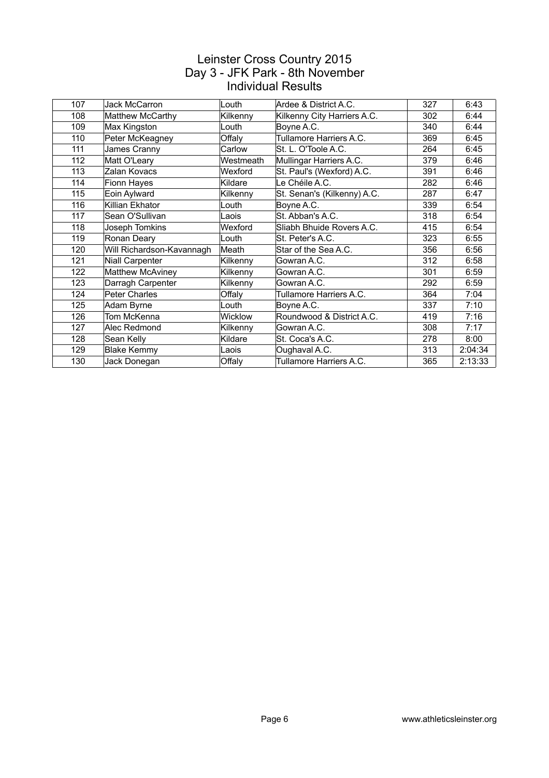| 107 | Jack McCarron             | Louth          | Ardee & District A.C.       | 327 | 6:43    |
|-----|---------------------------|----------------|-----------------------------|-----|---------|
| 108 | Matthew McCarthy          | Kilkenny       | Kilkenny City Harriers A.C. | 302 | 6:44    |
| 109 | Max Kingston              | Louth          | Boyne A.C.                  | 340 | 6:44    |
| 110 | Peter McKeagney           | Offaly         | Tullamore Harriers A.C.     | 369 | 6:45    |
| 111 | James Cranny              | Carlow         | St. L. O'Toole A.C.         | 264 | 6:45    |
| 112 | Matt O'Leary              | Westmeath      | Mullingar Harriers A.C.     | 379 | 6:46    |
| 113 | Zalan Kovacs              | Wexford        | St. Paul's (Wexford) A.C.   | 391 | 6:46    |
| 114 | Fionn Hayes               | Kildare        | Le Chéile A.C.              | 282 | 6:46    |
| 115 | Eoin Aylward              | Kilkenny       | St. Senan's (Kilkenny) A.C. | 287 | 6:47    |
| 116 | Killian Ekhator           | Louth          | Boyne A.C.                  | 339 | 6:54    |
| 117 | Sean O'Sullivan           | Laois          | St. Abban's A.C.            | 318 | 6:54    |
| 118 | Joseph Tomkins            | Wexford        | Sliabh Bhuide Rovers A.C.   | 415 | 6:54    |
| 119 | Ronan Deary               | Louth          | St. Peter's A.C.            | 323 | 6:55    |
| 120 | Will Richardson-Kavannagh | Meath          | Star of the Sea A.C.        | 356 | 6:56    |
| 121 | <b>Niall Carpenter</b>    | Kilkenny       | Gowran A.C.                 | 312 | 6:58    |
| 122 | Matthew McAviney          | Kilkenny       | Gowran A.C.                 | 301 | 6:59    |
| 123 | Darragh Carpenter         | Kilkenny       | Gowran A.C.                 | 292 | 6:59    |
| 124 | Peter Charles             | Offaly         | Tullamore Harriers A.C.     | 364 | 7:04    |
| 125 | Adam Byrne                | Louth          | Boyne A.C.                  | 337 | 7:10    |
| 126 | Tom McKenna               | <b>Wicklow</b> | Roundwood & District A.C.   | 419 | 7:16    |
| 127 | Alec Redmond              | Kilkenny       | Gowran A.C.                 | 308 | 7:17    |
| 128 | Sean Kelly                | Kildare        | St. Coca's A.C.             | 278 | 8:00    |
| 129 | <b>Blake Kemmy</b>        | Laois          | Oughaval A.C.               | 313 | 2:04:34 |
| 130 | Jack Donegan              | Offaly         | Tullamore Harriers A.C.     | 365 | 2:13:33 |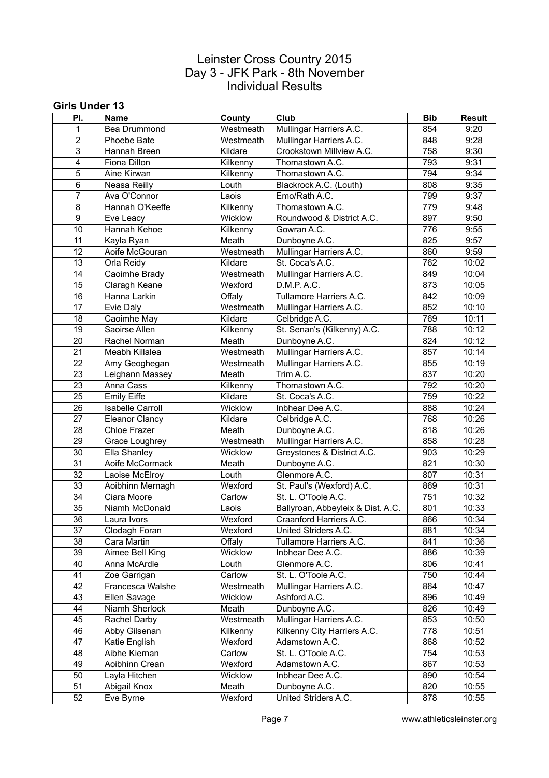#### **Girls Under 13**

| 854<br>9:20<br>$\mathbf{1}$<br><b>Bea Drummond</b><br>$\overline{2}$<br>Mullingar Harriers A.C.<br>9:28<br>Phoebe Bate<br>Westmeath<br>848<br>Crookstown Millview A.C.<br>758<br>9:30<br>3<br>Hannah Breen<br>Kildare<br>793<br>9:31<br>4<br>Kilkenny<br>Thomastown A.C.<br>Fiona Dillon<br>5<br>794<br>9:34<br>Aine Kirwan<br>Thomastown A.C.<br>Kilkenny<br>808<br>9:35<br>6<br>Neasa Reilly<br>Louth<br>Blackrock A.C. (Louth)<br>799<br>9:37<br>$\overline{7}$<br>Ava O'Connor<br>Laois<br>Emo/Rath A.C.<br>779<br>8<br>Hannah O'Keeffe<br>Kilkenny<br>Thomastown A.C.<br>9:48<br>897<br>9:50<br>9<br>Wicklow<br>Roundwood & District A.C.<br>Eve Leacy<br>776<br>10<br>Hannah Kehoe<br>Kilkenny<br>Gowran A.C.<br>9:55<br>825<br>9:57<br>11<br>Meath<br>Dunboyne A.C.<br>Kayla Ryan<br>12<br>Mullingar Harriers A.C.<br>860<br>Aoife McGouran<br>Westmeath<br>9:59<br>St. Coca's A.C.<br>762<br>13<br>Orla Reidy<br>Kildare<br>10:02<br>849<br>10:04<br>14<br>Caoimhe Brady<br>Westmeath<br>Mullingar Harriers A.C.<br>15<br>Wexford<br>873<br>10:05<br>Claragh Keane<br>D.M.P. A.C.<br>Tullamore Harriers A.C.<br>842<br>10:09<br>16<br>Hanna Larkin<br>Offaly<br>17<br>Westmeath<br>852<br>10:10<br>Mullingar Harriers A.C.<br>Evie Daly<br>Kildare<br>Celbridge A.C.<br>769<br>10:11<br>18<br>Caoimhe May<br>19<br>St. Senan's (Kilkenny) A.C.<br>788<br>10:12<br>Saoirse Allen<br>Kilkenny<br>Dunboyne A.C.<br>824<br>10:12<br>20<br>Rachel Norman<br>Meath<br>21<br>Mullingar Harriers A.C.<br>857<br>10:14<br>Meabh Killalea<br>Westmeath<br>22<br>Mullingar Harriers A.C.<br>855<br>10:19<br>Westmeath<br>Amy Geoghegan<br>Trim A.C.<br>837<br>10:20<br>23<br>Leighann Massey<br>Meath<br>23<br>Thomastown A.C.<br>792<br>10:20<br>Kilkenny<br>Anna Cass<br>25<br>759<br>10:22<br><b>Emily Eiffe</b><br>Kildare<br>St. Coca's A.C.<br>10:24<br>26<br><b>Isabelle Carroll</b><br>Wicklow<br>888<br>Inbhear Dee A.C.<br>27<br>768<br>10:26<br><b>Eleanor Clancy</b><br>Kildare<br>Celbridge A.C.<br>28<br>818<br>10:26<br><b>Chloe Frazer</b><br>Meath<br>Dunboyne A.C.<br>29<br>858<br>10:28<br>Grace Loughrey<br>Mullingar Harriers A.C.<br>Westmeath<br>903<br>10:29<br>30<br>Ella Shanley<br>Wicklow<br>Greystones & District A.C.<br>31<br>Dunboyne A.C.<br>821<br>10:30<br>Aoife McCormack<br>Meath<br>32<br>Glenmore A.C.<br>807<br>10:31<br>Laoise McElroy<br>Louth<br>33<br>Aoibhinn Mernagh<br>St. Paul's (Wexford) A.C.<br>869<br>10:31<br>Wexford<br>34<br>St. L. O'Toole A.C.<br>751<br>10:32<br>Carlow<br>Ciara Moore<br>35<br>Niamh McDonald<br>Ballyroan, Abbeyleix & Dist. A.C.<br>801<br>10:33<br>Laois<br>36<br>Craanford Harriers A.C.<br>10:34<br>Wexford<br>866<br>Laura Ivors<br>37<br>Wexford<br>10:34<br>Clodagh Foran<br>United Striders A.C.<br>881<br>38<br>841<br>Cara Martin<br>Offaly<br>Tullamore Harriers A.C.<br>10:36<br>39<br>Aimee Bell King<br>Wicklow<br>Inbhear Dee A.C.<br>886<br>10:39<br>40<br>Louth<br>Glenmore A.C.<br>806<br>10:41<br>Anna McArdle<br>750<br>41<br>Carlow<br>St. L. O'Toole A.C.<br>10:44<br>Zoe Garrigan<br>42<br>Francesca Walshe<br>Westmeath<br>Mullingar Harriers A.C.<br>864<br>10:47<br>Ashford A.C.<br>43<br>Wicklow<br>896<br>10:49<br>Ellen Savage<br>44<br>Niamh Sherlock<br>Meath<br>Dunboyne A.C.<br>826<br>10:49<br>45<br>Rachel Darby<br>Westmeath<br>Mullingar Harriers A.C.<br>853<br>10:50<br>46<br>Abby Gilsenan<br>Kilkenny City Harriers A.C.<br>778<br>10:51<br>Kilkenny<br>47<br>Katie English<br>Wexford<br>Adamstown A.C.<br>868<br>10:52<br>Aibhe Kiernan<br>754<br>48<br>Carlow<br>St. L. O'Toole A.C.<br>10:53<br>49<br>Aoibhinn Crean<br>Wexford<br>Adamstown A.C.<br>867<br>10:53<br>50<br>Layla Hitchen<br>Wicklow<br>Inbhear Dee A.C.<br>890<br>10:54<br>51<br>Abigail Knox<br>Meath<br>Dunboyne A.C.<br>820<br>10:55<br>52<br>Wexford<br>United Striders A.C.<br>878<br>10:55<br>Eve Byrne | PI. | Name | County    | <b>Club</b>             | <b>Bib</b> | <b>Result</b> |
|-----------------------------------------------------------------------------------------------------------------------------------------------------------------------------------------------------------------------------------------------------------------------------------------------------------------------------------------------------------------------------------------------------------------------------------------------------------------------------------------------------------------------------------------------------------------------------------------------------------------------------------------------------------------------------------------------------------------------------------------------------------------------------------------------------------------------------------------------------------------------------------------------------------------------------------------------------------------------------------------------------------------------------------------------------------------------------------------------------------------------------------------------------------------------------------------------------------------------------------------------------------------------------------------------------------------------------------------------------------------------------------------------------------------------------------------------------------------------------------------------------------------------------------------------------------------------------------------------------------------------------------------------------------------------------------------------------------------------------------------------------------------------------------------------------------------------------------------------------------------------------------------------------------------------------------------------------------------------------------------------------------------------------------------------------------------------------------------------------------------------------------------------------------------------------------------------------------------------------------------------------------------------------------------------------------------------------------------------------------------------------------------------------------------------------------------------------------------------------------------------------------------------------------------------------------------------------------------------------------------------------------------------------------------------------------------------------------------------------------------------------------------------------------------------------------------------------------------------------------------------------------------------------------------------------------------------------------------------------------------------------------------------------------------------------------------------------------------------------------------------------------------------------------------------------------------------------------------------------------------------------------------------------------------------------------------------------------------------------------------------------------------------------------------------------------------------------------------------------------------------------------------------------------------------------------------------------------------------------------------------------------------------------------------------------------------------------------------------------------------------------------------------------------------------------------------------------------------------------------------------------------------------------|-----|------|-----------|-------------------------|------------|---------------|
|                                                                                                                                                                                                                                                                                                                                                                                                                                                                                                                                                                                                                                                                                                                                                                                                                                                                                                                                                                                                                                                                                                                                                                                                                                                                                                                                                                                                                                                                                                                                                                                                                                                                                                                                                                                                                                                                                                                                                                                                                                                                                                                                                                                                                                                                                                                                                                                                                                                                                                                                                                                                                                                                                                                                                                                                                                                                                                                                                                                                                                                                                                                                                                                                                                                                                                                                                                                                                                                                                                                                                                                                                                                                                                                                                                                                                                                                                                     |     |      | Westmeath | Mullingar Harriers A.C. |            |               |
|                                                                                                                                                                                                                                                                                                                                                                                                                                                                                                                                                                                                                                                                                                                                                                                                                                                                                                                                                                                                                                                                                                                                                                                                                                                                                                                                                                                                                                                                                                                                                                                                                                                                                                                                                                                                                                                                                                                                                                                                                                                                                                                                                                                                                                                                                                                                                                                                                                                                                                                                                                                                                                                                                                                                                                                                                                                                                                                                                                                                                                                                                                                                                                                                                                                                                                                                                                                                                                                                                                                                                                                                                                                                                                                                                                                                                                                                                                     |     |      |           |                         |            |               |
|                                                                                                                                                                                                                                                                                                                                                                                                                                                                                                                                                                                                                                                                                                                                                                                                                                                                                                                                                                                                                                                                                                                                                                                                                                                                                                                                                                                                                                                                                                                                                                                                                                                                                                                                                                                                                                                                                                                                                                                                                                                                                                                                                                                                                                                                                                                                                                                                                                                                                                                                                                                                                                                                                                                                                                                                                                                                                                                                                                                                                                                                                                                                                                                                                                                                                                                                                                                                                                                                                                                                                                                                                                                                                                                                                                                                                                                                                                     |     |      |           |                         |            |               |
|                                                                                                                                                                                                                                                                                                                                                                                                                                                                                                                                                                                                                                                                                                                                                                                                                                                                                                                                                                                                                                                                                                                                                                                                                                                                                                                                                                                                                                                                                                                                                                                                                                                                                                                                                                                                                                                                                                                                                                                                                                                                                                                                                                                                                                                                                                                                                                                                                                                                                                                                                                                                                                                                                                                                                                                                                                                                                                                                                                                                                                                                                                                                                                                                                                                                                                                                                                                                                                                                                                                                                                                                                                                                                                                                                                                                                                                                                                     |     |      |           |                         |            |               |
|                                                                                                                                                                                                                                                                                                                                                                                                                                                                                                                                                                                                                                                                                                                                                                                                                                                                                                                                                                                                                                                                                                                                                                                                                                                                                                                                                                                                                                                                                                                                                                                                                                                                                                                                                                                                                                                                                                                                                                                                                                                                                                                                                                                                                                                                                                                                                                                                                                                                                                                                                                                                                                                                                                                                                                                                                                                                                                                                                                                                                                                                                                                                                                                                                                                                                                                                                                                                                                                                                                                                                                                                                                                                                                                                                                                                                                                                                                     |     |      |           |                         |            |               |
|                                                                                                                                                                                                                                                                                                                                                                                                                                                                                                                                                                                                                                                                                                                                                                                                                                                                                                                                                                                                                                                                                                                                                                                                                                                                                                                                                                                                                                                                                                                                                                                                                                                                                                                                                                                                                                                                                                                                                                                                                                                                                                                                                                                                                                                                                                                                                                                                                                                                                                                                                                                                                                                                                                                                                                                                                                                                                                                                                                                                                                                                                                                                                                                                                                                                                                                                                                                                                                                                                                                                                                                                                                                                                                                                                                                                                                                                                                     |     |      |           |                         |            |               |
|                                                                                                                                                                                                                                                                                                                                                                                                                                                                                                                                                                                                                                                                                                                                                                                                                                                                                                                                                                                                                                                                                                                                                                                                                                                                                                                                                                                                                                                                                                                                                                                                                                                                                                                                                                                                                                                                                                                                                                                                                                                                                                                                                                                                                                                                                                                                                                                                                                                                                                                                                                                                                                                                                                                                                                                                                                                                                                                                                                                                                                                                                                                                                                                                                                                                                                                                                                                                                                                                                                                                                                                                                                                                                                                                                                                                                                                                                                     |     |      |           |                         |            |               |
|                                                                                                                                                                                                                                                                                                                                                                                                                                                                                                                                                                                                                                                                                                                                                                                                                                                                                                                                                                                                                                                                                                                                                                                                                                                                                                                                                                                                                                                                                                                                                                                                                                                                                                                                                                                                                                                                                                                                                                                                                                                                                                                                                                                                                                                                                                                                                                                                                                                                                                                                                                                                                                                                                                                                                                                                                                                                                                                                                                                                                                                                                                                                                                                                                                                                                                                                                                                                                                                                                                                                                                                                                                                                                                                                                                                                                                                                                                     |     |      |           |                         |            |               |
|                                                                                                                                                                                                                                                                                                                                                                                                                                                                                                                                                                                                                                                                                                                                                                                                                                                                                                                                                                                                                                                                                                                                                                                                                                                                                                                                                                                                                                                                                                                                                                                                                                                                                                                                                                                                                                                                                                                                                                                                                                                                                                                                                                                                                                                                                                                                                                                                                                                                                                                                                                                                                                                                                                                                                                                                                                                                                                                                                                                                                                                                                                                                                                                                                                                                                                                                                                                                                                                                                                                                                                                                                                                                                                                                                                                                                                                                                                     |     |      |           |                         |            |               |
|                                                                                                                                                                                                                                                                                                                                                                                                                                                                                                                                                                                                                                                                                                                                                                                                                                                                                                                                                                                                                                                                                                                                                                                                                                                                                                                                                                                                                                                                                                                                                                                                                                                                                                                                                                                                                                                                                                                                                                                                                                                                                                                                                                                                                                                                                                                                                                                                                                                                                                                                                                                                                                                                                                                                                                                                                                                                                                                                                                                                                                                                                                                                                                                                                                                                                                                                                                                                                                                                                                                                                                                                                                                                                                                                                                                                                                                                                                     |     |      |           |                         |            |               |
|                                                                                                                                                                                                                                                                                                                                                                                                                                                                                                                                                                                                                                                                                                                                                                                                                                                                                                                                                                                                                                                                                                                                                                                                                                                                                                                                                                                                                                                                                                                                                                                                                                                                                                                                                                                                                                                                                                                                                                                                                                                                                                                                                                                                                                                                                                                                                                                                                                                                                                                                                                                                                                                                                                                                                                                                                                                                                                                                                                                                                                                                                                                                                                                                                                                                                                                                                                                                                                                                                                                                                                                                                                                                                                                                                                                                                                                                                                     |     |      |           |                         |            |               |
|                                                                                                                                                                                                                                                                                                                                                                                                                                                                                                                                                                                                                                                                                                                                                                                                                                                                                                                                                                                                                                                                                                                                                                                                                                                                                                                                                                                                                                                                                                                                                                                                                                                                                                                                                                                                                                                                                                                                                                                                                                                                                                                                                                                                                                                                                                                                                                                                                                                                                                                                                                                                                                                                                                                                                                                                                                                                                                                                                                                                                                                                                                                                                                                                                                                                                                                                                                                                                                                                                                                                                                                                                                                                                                                                                                                                                                                                                                     |     |      |           |                         |            |               |
|                                                                                                                                                                                                                                                                                                                                                                                                                                                                                                                                                                                                                                                                                                                                                                                                                                                                                                                                                                                                                                                                                                                                                                                                                                                                                                                                                                                                                                                                                                                                                                                                                                                                                                                                                                                                                                                                                                                                                                                                                                                                                                                                                                                                                                                                                                                                                                                                                                                                                                                                                                                                                                                                                                                                                                                                                                                                                                                                                                                                                                                                                                                                                                                                                                                                                                                                                                                                                                                                                                                                                                                                                                                                                                                                                                                                                                                                                                     |     |      |           |                         |            |               |
|                                                                                                                                                                                                                                                                                                                                                                                                                                                                                                                                                                                                                                                                                                                                                                                                                                                                                                                                                                                                                                                                                                                                                                                                                                                                                                                                                                                                                                                                                                                                                                                                                                                                                                                                                                                                                                                                                                                                                                                                                                                                                                                                                                                                                                                                                                                                                                                                                                                                                                                                                                                                                                                                                                                                                                                                                                                                                                                                                                                                                                                                                                                                                                                                                                                                                                                                                                                                                                                                                                                                                                                                                                                                                                                                                                                                                                                                                                     |     |      |           |                         |            |               |
|                                                                                                                                                                                                                                                                                                                                                                                                                                                                                                                                                                                                                                                                                                                                                                                                                                                                                                                                                                                                                                                                                                                                                                                                                                                                                                                                                                                                                                                                                                                                                                                                                                                                                                                                                                                                                                                                                                                                                                                                                                                                                                                                                                                                                                                                                                                                                                                                                                                                                                                                                                                                                                                                                                                                                                                                                                                                                                                                                                                                                                                                                                                                                                                                                                                                                                                                                                                                                                                                                                                                                                                                                                                                                                                                                                                                                                                                                                     |     |      |           |                         |            |               |
|                                                                                                                                                                                                                                                                                                                                                                                                                                                                                                                                                                                                                                                                                                                                                                                                                                                                                                                                                                                                                                                                                                                                                                                                                                                                                                                                                                                                                                                                                                                                                                                                                                                                                                                                                                                                                                                                                                                                                                                                                                                                                                                                                                                                                                                                                                                                                                                                                                                                                                                                                                                                                                                                                                                                                                                                                                                                                                                                                                                                                                                                                                                                                                                                                                                                                                                                                                                                                                                                                                                                                                                                                                                                                                                                                                                                                                                                                                     |     |      |           |                         |            |               |
|                                                                                                                                                                                                                                                                                                                                                                                                                                                                                                                                                                                                                                                                                                                                                                                                                                                                                                                                                                                                                                                                                                                                                                                                                                                                                                                                                                                                                                                                                                                                                                                                                                                                                                                                                                                                                                                                                                                                                                                                                                                                                                                                                                                                                                                                                                                                                                                                                                                                                                                                                                                                                                                                                                                                                                                                                                                                                                                                                                                                                                                                                                                                                                                                                                                                                                                                                                                                                                                                                                                                                                                                                                                                                                                                                                                                                                                                                                     |     |      |           |                         |            |               |
|                                                                                                                                                                                                                                                                                                                                                                                                                                                                                                                                                                                                                                                                                                                                                                                                                                                                                                                                                                                                                                                                                                                                                                                                                                                                                                                                                                                                                                                                                                                                                                                                                                                                                                                                                                                                                                                                                                                                                                                                                                                                                                                                                                                                                                                                                                                                                                                                                                                                                                                                                                                                                                                                                                                                                                                                                                                                                                                                                                                                                                                                                                                                                                                                                                                                                                                                                                                                                                                                                                                                                                                                                                                                                                                                                                                                                                                                                                     |     |      |           |                         |            |               |
|                                                                                                                                                                                                                                                                                                                                                                                                                                                                                                                                                                                                                                                                                                                                                                                                                                                                                                                                                                                                                                                                                                                                                                                                                                                                                                                                                                                                                                                                                                                                                                                                                                                                                                                                                                                                                                                                                                                                                                                                                                                                                                                                                                                                                                                                                                                                                                                                                                                                                                                                                                                                                                                                                                                                                                                                                                                                                                                                                                                                                                                                                                                                                                                                                                                                                                                                                                                                                                                                                                                                                                                                                                                                                                                                                                                                                                                                                                     |     |      |           |                         |            |               |
|                                                                                                                                                                                                                                                                                                                                                                                                                                                                                                                                                                                                                                                                                                                                                                                                                                                                                                                                                                                                                                                                                                                                                                                                                                                                                                                                                                                                                                                                                                                                                                                                                                                                                                                                                                                                                                                                                                                                                                                                                                                                                                                                                                                                                                                                                                                                                                                                                                                                                                                                                                                                                                                                                                                                                                                                                                                                                                                                                                                                                                                                                                                                                                                                                                                                                                                                                                                                                                                                                                                                                                                                                                                                                                                                                                                                                                                                                                     |     |      |           |                         |            |               |
|                                                                                                                                                                                                                                                                                                                                                                                                                                                                                                                                                                                                                                                                                                                                                                                                                                                                                                                                                                                                                                                                                                                                                                                                                                                                                                                                                                                                                                                                                                                                                                                                                                                                                                                                                                                                                                                                                                                                                                                                                                                                                                                                                                                                                                                                                                                                                                                                                                                                                                                                                                                                                                                                                                                                                                                                                                                                                                                                                                                                                                                                                                                                                                                                                                                                                                                                                                                                                                                                                                                                                                                                                                                                                                                                                                                                                                                                                                     |     |      |           |                         |            |               |
|                                                                                                                                                                                                                                                                                                                                                                                                                                                                                                                                                                                                                                                                                                                                                                                                                                                                                                                                                                                                                                                                                                                                                                                                                                                                                                                                                                                                                                                                                                                                                                                                                                                                                                                                                                                                                                                                                                                                                                                                                                                                                                                                                                                                                                                                                                                                                                                                                                                                                                                                                                                                                                                                                                                                                                                                                                                                                                                                                                                                                                                                                                                                                                                                                                                                                                                                                                                                                                                                                                                                                                                                                                                                                                                                                                                                                                                                                                     |     |      |           |                         |            |               |
|                                                                                                                                                                                                                                                                                                                                                                                                                                                                                                                                                                                                                                                                                                                                                                                                                                                                                                                                                                                                                                                                                                                                                                                                                                                                                                                                                                                                                                                                                                                                                                                                                                                                                                                                                                                                                                                                                                                                                                                                                                                                                                                                                                                                                                                                                                                                                                                                                                                                                                                                                                                                                                                                                                                                                                                                                                                                                                                                                                                                                                                                                                                                                                                                                                                                                                                                                                                                                                                                                                                                                                                                                                                                                                                                                                                                                                                                                                     |     |      |           |                         |            |               |
|                                                                                                                                                                                                                                                                                                                                                                                                                                                                                                                                                                                                                                                                                                                                                                                                                                                                                                                                                                                                                                                                                                                                                                                                                                                                                                                                                                                                                                                                                                                                                                                                                                                                                                                                                                                                                                                                                                                                                                                                                                                                                                                                                                                                                                                                                                                                                                                                                                                                                                                                                                                                                                                                                                                                                                                                                                                                                                                                                                                                                                                                                                                                                                                                                                                                                                                                                                                                                                                                                                                                                                                                                                                                                                                                                                                                                                                                                                     |     |      |           |                         |            |               |
|                                                                                                                                                                                                                                                                                                                                                                                                                                                                                                                                                                                                                                                                                                                                                                                                                                                                                                                                                                                                                                                                                                                                                                                                                                                                                                                                                                                                                                                                                                                                                                                                                                                                                                                                                                                                                                                                                                                                                                                                                                                                                                                                                                                                                                                                                                                                                                                                                                                                                                                                                                                                                                                                                                                                                                                                                                                                                                                                                                                                                                                                                                                                                                                                                                                                                                                                                                                                                                                                                                                                                                                                                                                                                                                                                                                                                                                                                                     |     |      |           |                         |            |               |
|                                                                                                                                                                                                                                                                                                                                                                                                                                                                                                                                                                                                                                                                                                                                                                                                                                                                                                                                                                                                                                                                                                                                                                                                                                                                                                                                                                                                                                                                                                                                                                                                                                                                                                                                                                                                                                                                                                                                                                                                                                                                                                                                                                                                                                                                                                                                                                                                                                                                                                                                                                                                                                                                                                                                                                                                                                                                                                                                                                                                                                                                                                                                                                                                                                                                                                                                                                                                                                                                                                                                                                                                                                                                                                                                                                                                                                                                                                     |     |      |           |                         |            |               |
|                                                                                                                                                                                                                                                                                                                                                                                                                                                                                                                                                                                                                                                                                                                                                                                                                                                                                                                                                                                                                                                                                                                                                                                                                                                                                                                                                                                                                                                                                                                                                                                                                                                                                                                                                                                                                                                                                                                                                                                                                                                                                                                                                                                                                                                                                                                                                                                                                                                                                                                                                                                                                                                                                                                                                                                                                                                                                                                                                                                                                                                                                                                                                                                                                                                                                                                                                                                                                                                                                                                                                                                                                                                                                                                                                                                                                                                                                                     |     |      |           |                         |            |               |
|                                                                                                                                                                                                                                                                                                                                                                                                                                                                                                                                                                                                                                                                                                                                                                                                                                                                                                                                                                                                                                                                                                                                                                                                                                                                                                                                                                                                                                                                                                                                                                                                                                                                                                                                                                                                                                                                                                                                                                                                                                                                                                                                                                                                                                                                                                                                                                                                                                                                                                                                                                                                                                                                                                                                                                                                                                                                                                                                                                                                                                                                                                                                                                                                                                                                                                                                                                                                                                                                                                                                                                                                                                                                                                                                                                                                                                                                                                     |     |      |           |                         |            |               |
|                                                                                                                                                                                                                                                                                                                                                                                                                                                                                                                                                                                                                                                                                                                                                                                                                                                                                                                                                                                                                                                                                                                                                                                                                                                                                                                                                                                                                                                                                                                                                                                                                                                                                                                                                                                                                                                                                                                                                                                                                                                                                                                                                                                                                                                                                                                                                                                                                                                                                                                                                                                                                                                                                                                                                                                                                                                                                                                                                                                                                                                                                                                                                                                                                                                                                                                                                                                                                                                                                                                                                                                                                                                                                                                                                                                                                                                                                                     |     |      |           |                         |            |               |
|                                                                                                                                                                                                                                                                                                                                                                                                                                                                                                                                                                                                                                                                                                                                                                                                                                                                                                                                                                                                                                                                                                                                                                                                                                                                                                                                                                                                                                                                                                                                                                                                                                                                                                                                                                                                                                                                                                                                                                                                                                                                                                                                                                                                                                                                                                                                                                                                                                                                                                                                                                                                                                                                                                                                                                                                                                                                                                                                                                                                                                                                                                                                                                                                                                                                                                                                                                                                                                                                                                                                                                                                                                                                                                                                                                                                                                                                                                     |     |      |           |                         |            |               |
|                                                                                                                                                                                                                                                                                                                                                                                                                                                                                                                                                                                                                                                                                                                                                                                                                                                                                                                                                                                                                                                                                                                                                                                                                                                                                                                                                                                                                                                                                                                                                                                                                                                                                                                                                                                                                                                                                                                                                                                                                                                                                                                                                                                                                                                                                                                                                                                                                                                                                                                                                                                                                                                                                                                                                                                                                                                                                                                                                                                                                                                                                                                                                                                                                                                                                                                                                                                                                                                                                                                                                                                                                                                                                                                                                                                                                                                                                                     |     |      |           |                         |            |               |
|                                                                                                                                                                                                                                                                                                                                                                                                                                                                                                                                                                                                                                                                                                                                                                                                                                                                                                                                                                                                                                                                                                                                                                                                                                                                                                                                                                                                                                                                                                                                                                                                                                                                                                                                                                                                                                                                                                                                                                                                                                                                                                                                                                                                                                                                                                                                                                                                                                                                                                                                                                                                                                                                                                                                                                                                                                                                                                                                                                                                                                                                                                                                                                                                                                                                                                                                                                                                                                                                                                                                                                                                                                                                                                                                                                                                                                                                                                     |     |      |           |                         |            |               |
|                                                                                                                                                                                                                                                                                                                                                                                                                                                                                                                                                                                                                                                                                                                                                                                                                                                                                                                                                                                                                                                                                                                                                                                                                                                                                                                                                                                                                                                                                                                                                                                                                                                                                                                                                                                                                                                                                                                                                                                                                                                                                                                                                                                                                                                                                                                                                                                                                                                                                                                                                                                                                                                                                                                                                                                                                                                                                                                                                                                                                                                                                                                                                                                                                                                                                                                                                                                                                                                                                                                                                                                                                                                                                                                                                                                                                                                                                                     |     |      |           |                         |            |               |
|                                                                                                                                                                                                                                                                                                                                                                                                                                                                                                                                                                                                                                                                                                                                                                                                                                                                                                                                                                                                                                                                                                                                                                                                                                                                                                                                                                                                                                                                                                                                                                                                                                                                                                                                                                                                                                                                                                                                                                                                                                                                                                                                                                                                                                                                                                                                                                                                                                                                                                                                                                                                                                                                                                                                                                                                                                                                                                                                                                                                                                                                                                                                                                                                                                                                                                                                                                                                                                                                                                                                                                                                                                                                                                                                                                                                                                                                                                     |     |      |           |                         |            |               |
|                                                                                                                                                                                                                                                                                                                                                                                                                                                                                                                                                                                                                                                                                                                                                                                                                                                                                                                                                                                                                                                                                                                                                                                                                                                                                                                                                                                                                                                                                                                                                                                                                                                                                                                                                                                                                                                                                                                                                                                                                                                                                                                                                                                                                                                                                                                                                                                                                                                                                                                                                                                                                                                                                                                                                                                                                                                                                                                                                                                                                                                                                                                                                                                                                                                                                                                                                                                                                                                                                                                                                                                                                                                                                                                                                                                                                                                                                                     |     |      |           |                         |            |               |
|                                                                                                                                                                                                                                                                                                                                                                                                                                                                                                                                                                                                                                                                                                                                                                                                                                                                                                                                                                                                                                                                                                                                                                                                                                                                                                                                                                                                                                                                                                                                                                                                                                                                                                                                                                                                                                                                                                                                                                                                                                                                                                                                                                                                                                                                                                                                                                                                                                                                                                                                                                                                                                                                                                                                                                                                                                                                                                                                                                                                                                                                                                                                                                                                                                                                                                                                                                                                                                                                                                                                                                                                                                                                                                                                                                                                                                                                                                     |     |      |           |                         |            |               |
|                                                                                                                                                                                                                                                                                                                                                                                                                                                                                                                                                                                                                                                                                                                                                                                                                                                                                                                                                                                                                                                                                                                                                                                                                                                                                                                                                                                                                                                                                                                                                                                                                                                                                                                                                                                                                                                                                                                                                                                                                                                                                                                                                                                                                                                                                                                                                                                                                                                                                                                                                                                                                                                                                                                                                                                                                                                                                                                                                                                                                                                                                                                                                                                                                                                                                                                                                                                                                                                                                                                                                                                                                                                                                                                                                                                                                                                                                                     |     |      |           |                         |            |               |
|                                                                                                                                                                                                                                                                                                                                                                                                                                                                                                                                                                                                                                                                                                                                                                                                                                                                                                                                                                                                                                                                                                                                                                                                                                                                                                                                                                                                                                                                                                                                                                                                                                                                                                                                                                                                                                                                                                                                                                                                                                                                                                                                                                                                                                                                                                                                                                                                                                                                                                                                                                                                                                                                                                                                                                                                                                                                                                                                                                                                                                                                                                                                                                                                                                                                                                                                                                                                                                                                                                                                                                                                                                                                                                                                                                                                                                                                                                     |     |      |           |                         |            |               |
|                                                                                                                                                                                                                                                                                                                                                                                                                                                                                                                                                                                                                                                                                                                                                                                                                                                                                                                                                                                                                                                                                                                                                                                                                                                                                                                                                                                                                                                                                                                                                                                                                                                                                                                                                                                                                                                                                                                                                                                                                                                                                                                                                                                                                                                                                                                                                                                                                                                                                                                                                                                                                                                                                                                                                                                                                                                                                                                                                                                                                                                                                                                                                                                                                                                                                                                                                                                                                                                                                                                                                                                                                                                                                                                                                                                                                                                                                                     |     |      |           |                         |            |               |
|                                                                                                                                                                                                                                                                                                                                                                                                                                                                                                                                                                                                                                                                                                                                                                                                                                                                                                                                                                                                                                                                                                                                                                                                                                                                                                                                                                                                                                                                                                                                                                                                                                                                                                                                                                                                                                                                                                                                                                                                                                                                                                                                                                                                                                                                                                                                                                                                                                                                                                                                                                                                                                                                                                                                                                                                                                                                                                                                                                                                                                                                                                                                                                                                                                                                                                                                                                                                                                                                                                                                                                                                                                                                                                                                                                                                                                                                                                     |     |      |           |                         |            |               |
|                                                                                                                                                                                                                                                                                                                                                                                                                                                                                                                                                                                                                                                                                                                                                                                                                                                                                                                                                                                                                                                                                                                                                                                                                                                                                                                                                                                                                                                                                                                                                                                                                                                                                                                                                                                                                                                                                                                                                                                                                                                                                                                                                                                                                                                                                                                                                                                                                                                                                                                                                                                                                                                                                                                                                                                                                                                                                                                                                                                                                                                                                                                                                                                                                                                                                                                                                                                                                                                                                                                                                                                                                                                                                                                                                                                                                                                                                                     |     |      |           |                         |            |               |
|                                                                                                                                                                                                                                                                                                                                                                                                                                                                                                                                                                                                                                                                                                                                                                                                                                                                                                                                                                                                                                                                                                                                                                                                                                                                                                                                                                                                                                                                                                                                                                                                                                                                                                                                                                                                                                                                                                                                                                                                                                                                                                                                                                                                                                                                                                                                                                                                                                                                                                                                                                                                                                                                                                                                                                                                                                                                                                                                                                                                                                                                                                                                                                                                                                                                                                                                                                                                                                                                                                                                                                                                                                                                                                                                                                                                                                                                                                     |     |      |           |                         |            |               |
|                                                                                                                                                                                                                                                                                                                                                                                                                                                                                                                                                                                                                                                                                                                                                                                                                                                                                                                                                                                                                                                                                                                                                                                                                                                                                                                                                                                                                                                                                                                                                                                                                                                                                                                                                                                                                                                                                                                                                                                                                                                                                                                                                                                                                                                                                                                                                                                                                                                                                                                                                                                                                                                                                                                                                                                                                                                                                                                                                                                                                                                                                                                                                                                                                                                                                                                                                                                                                                                                                                                                                                                                                                                                                                                                                                                                                                                                                                     |     |      |           |                         |            |               |
|                                                                                                                                                                                                                                                                                                                                                                                                                                                                                                                                                                                                                                                                                                                                                                                                                                                                                                                                                                                                                                                                                                                                                                                                                                                                                                                                                                                                                                                                                                                                                                                                                                                                                                                                                                                                                                                                                                                                                                                                                                                                                                                                                                                                                                                                                                                                                                                                                                                                                                                                                                                                                                                                                                                                                                                                                                                                                                                                                                                                                                                                                                                                                                                                                                                                                                                                                                                                                                                                                                                                                                                                                                                                                                                                                                                                                                                                                                     |     |      |           |                         |            |               |
|                                                                                                                                                                                                                                                                                                                                                                                                                                                                                                                                                                                                                                                                                                                                                                                                                                                                                                                                                                                                                                                                                                                                                                                                                                                                                                                                                                                                                                                                                                                                                                                                                                                                                                                                                                                                                                                                                                                                                                                                                                                                                                                                                                                                                                                                                                                                                                                                                                                                                                                                                                                                                                                                                                                                                                                                                                                                                                                                                                                                                                                                                                                                                                                                                                                                                                                                                                                                                                                                                                                                                                                                                                                                                                                                                                                                                                                                                                     |     |      |           |                         |            |               |
|                                                                                                                                                                                                                                                                                                                                                                                                                                                                                                                                                                                                                                                                                                                                                                                                                                                                                                                                                                                                                                                                                                                                                                                                                                                                                                                                                                                                                                                                                                                                                                                                                                                                                                                                                                                                                                                                                                                                                                                                                                                                                                                                                                                                                                                                                                                                                                                                                                                                                                                                                                                                                                                                                                                                                                                                                                                                                                                                                                                                                                                                                                                                                                                                                                                                                                                                                                                                                                                                                                                                                                                                                                                                                                                                                                                                                                                                                                     |     |      |           |                         |            |               |
|                                                                                                                                                                                                                                                                                                                                                                                                                                                                                                                                                                                                                                                                                                                                                                                                                                                                                                                                                                                                                                                                                                                                                                                                                                                                                                                                                                                                                                                                                                                                                                                                                                                                                                                                                                                                                                                                                                                                                                                                                                                                                                                                                                                                                                                                                                                                                                                                                                                                                                                                                                                                                                                                                                                                                                                                                                                                                                                                                                                                                                                                                                                                                                                                                                                                                                                                                                                                                                                                                                                                                                                                                                                                                                                                                                                                                                                                                                     |     |      |           |                         |            |               |
|                                                                                                                                                                                                                                                                                                                                                                                                                                                                                                                                                                                                                                                                                                                                                                                                                                                                                                                                                                                                                                                                                                                                                                                                                                                                                                                                                                                                                                                                                                                                                                                                                                                                                                                                                                                                                                                                                                                                                                                                                                                                                                                                                                                                                                                                                                                                                                                                                                                                                                                                                                                                                                                                                                                                                                                                                                                                                                                                                                                                                                                                                                                                                                                                                                                                                                                                                                                                                                                                                                                                                                                                                                                                                                                                                                                                                                                                                                     |     |      |           |                         |            |               |
|                                                                                                                                                                                                                                                                                                                                                                                                                                                                                                                                                                                                                                                                                                                                                                                                                                                                                                                                                                                                                                                                                                                                                                                                                                                                                                                                                                                                                                                                                                                                                                                                                                                                                                                                                                                                                                                                                                                                                                                                                                                                                                                                                                                                                                                                                                                                                                                                                                                                                                                                                                                                                                                                                                                                                                                                                                                                                                                                                                                                                                                                                                                                                                                                                                                                                                                                                                                                                                                                                                                                                                                                                                                                                                                                                                                                                                                                                                     |     |      |           |                         |            |               |
|                                                                                                                                                                                                                                                                                                                                                                                                                                                                                                                                                                                                                                                                                                                                                                                                                                                                                                                                                                                                                                                                                                                                                                                                                                                                                                                                                                                                                                                                                                                                                                                                                                                                                                                                                                                                                                                                                                                                                                                                                                                                                                                                                                                                                                                                                                                                                                                                                                                                                                                                                                                                                                                                                                                                                                                                                                                                                                                                                                                                                                                                                                                                                                                                                                                                                                                                                                                                                                                                                                                                                                                                                                                                                                                                                                                                                                                                                                     |     |      |           |                         |            |               |
|                                                                                                                                                                                                                                                                                                                                                                                                                                                                                                                                                                                                                                                                                                                                                                                                                                                                                                                                                                                                                                                                                                                                                                                                                                                                                                                                                                                                                                                                                                                                                                                                                                                                                                                                                                                                                                                                                                                                                                                                                                                                                                                                                                                                                                                                                                                                                                                                                                                                                                                                                                                                                                                                                                                                                                                                                                                                                                                                                                                                                                                                                                                                                                                                                                                                                                                                                                                                                                                                                                                                                                                                                                                                                                                                                                                                                                                                                                     |     |      |           |                         |            |               |
|                                                                                                                                                                                                                                                                                                                                                                                                                                                                                                                                                                                                                                                                                                                                                                                                                                                                                                                                                                                                                                                                                                                                                                                                                                                                                                                                                                                                                                                                                                                                                                                                                                                                                                                                                                                                                                                                                                                                                                                                                                                                                                                                                                                                                                                                                                                                                                                                                                                                                                                                                                                                                                                                                                                                                                                                                                                                                                                                                                                                                                                                                                                                                                                                                                                                                                                                                                                                                                                                                                                                                                                                                                                                                                                                                                                                                                                                                                     |     |      |           |                         |            |               |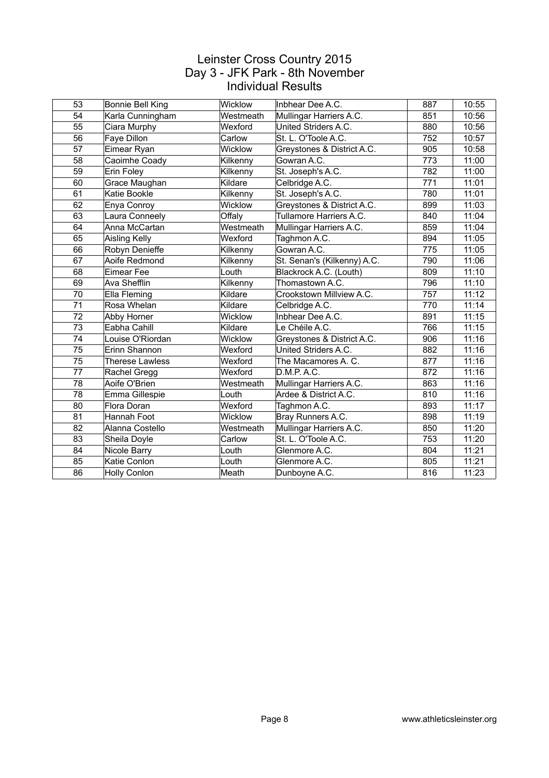| 53 | Bonnie Bell King       | Wicklow   | Inbhear Dee A.C.            | 887 | 10:55 |
|----|------------------------|-----------|-----------------------------|-----|-------|
| 54 | Karla Cunningham       | Westmeath | Mullingar Harriers A.C.     | 851 | 10:56 |
| 55 | Ciara Murphy           | Wexford   | United Striders A.C.        | 880 | 10:56 |
| 56 | Faye Dillon            | Carlow    | St. L. O'Toole A.C.         | 752 | 10:57 |
| 57 | Eimear Ryan            | Wicklow   | Greystones & District A.C.  | 905 | 10:58 |
| 58 | Caoimhe Coady          | Kilkenny  | Gowran A.C.                 | 773 | 11:00 |
| 59 | Erin Foley             | Kilkenny  | St. Joseph's A.C.           | 782 | 11:00 |
| 60 | Grace Maughan          | Kildare   | Celbridge A.C.              | 771 | 11:01 |
| 61 | Katie Bookle           | Kilkenny  | St. Joseph's A.C.           | 780 | 11:01 |
| 62 | Enya Conroy            | Wicklow   | Greystones & District A.C.  | 899 | 11:03 |
| 63 | Laura Conneely         | Offaly    | Tullamore Harriers A.C.     | 840 | 11:04 |
| 64 | Anna McCartan          | Westmeath | Mullingar Harriers A.C.     | 859 | 11:04 |
| 65 | Aisling Kelly          | Wexford   | Taghmon A.C.                | 894 | 11:05 |
| 66 | Robyn Denieffe         | Kilkenny  | Gowran A.C.                 | 775 | 11:05 |
| 67 | Aoife Redmond          | Kilkenny  | St. Senan's (Kilkenny) A.C. | 790 | 11:06 |
| 68 | Eimear Fee             | Louth     | Blackrock A.C. (Louth)      | 809 | 11:10 |
| 69 | Ava Shefflin           | Kilkenny  | Thomastown A.C.             | 796 | 11:10 |
| 70 | Ella Fleming           | Kildare   | Crookstown Millview A.C.    | 757 | 11:12 |
| 71 | Rosa Whelan            | Kildare   | Celbridge A.C.              | 770 | 11:14 |
| 72 | Abby Horner            | Wicklow   | Inbhear Dee A.C.            | 891 | 11:15 |
| 73 | Eabha Cahill           | Kildare   | Le Chéile A.C.              | 766 | 11:15 |
| 74 | Louise O'Riordan       | Wicklow   | Greystones & District A.C.  | 906 | 11:16 |
| 75 | Erinn Shannon          | Wexford   | United Striders A.C.        | 882 | 11:16 |
| 75 | <b>Therese Lawless</b> | Wexford   | The Macamores A. C.         | 877 | 11:16 |
| 77 | Rachel Gregg           | Wexford   | D.M.P. A.C.                 | 872 | 11:16 |
| 78 | Aoife O'Brien          | Westmeath | Mullingar Harriers A.C.     | 863 | 11:16 |
| 78 | Emma Gillespie         | Louth     | Ardee & District A.C.       | 810 | 11:16 |
| 80 | Flora Doran            | Wexford   | Taghmon A.C.                | 893 | 11:17 |
| 81 | Hannah Foot            | Wicklow   | Bray Runners A.C.           | 898 | 11:19 |
| 82 | Alanna Costello        | Westmeath | Mullingar Harriers A.C.     | 850 | 11:20 |
| 83 | Sheila Doyle           | Carlow    | St. L. O'Toole A.C.         | 753 | 11:20 |
| 84 | Nicole Barry           | Louth     | Glenmore A.C.               | 804 | 11:21 |
| 85 | Katie Conlon           | Louth     | Glenmore A.C.               | 805 | 11:21 |
| 86 | <b>Holly Conlon</b>    | Meath     | Dunboyne A.C.               | 816 | 11:23 |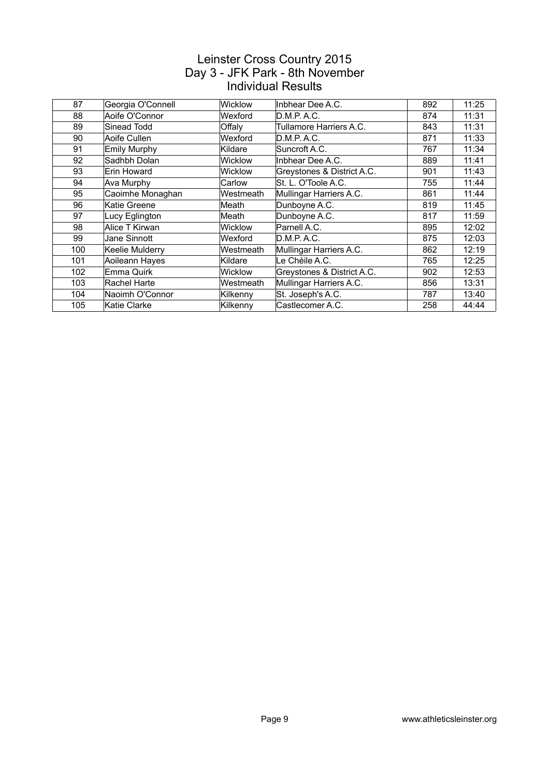| 87  |                   | <b>Wicklow</b> | Inbhear Dee A.C.           | 892 | 11:25 |
|-----|-------------------|----------------|----------------------------|-----|-------|
|     | Georgia O'Connell |                |                            |     |       |
| 88  | Aoife O'Connor    | Wexford        | D.M.P. A.C.                | 874 | 11:31 |
| 89  | Sinead Todd       | Offaly         | Tullamore Harriers A.C.    | 843 | 11:31 |
| 90  | Aoife Cullen      | Wexford        | D.M.P. A.C.                | 871 | 11:33 |
| 91  | Emily Murphy      | Kildare        | Suncroft A.C.              | 767 | 11:34 |
| 92  | Sadhbh Dolan      | Wicklow        | Inbhear Dee A.C.           | 889 | 11:41 |
| 93  | Erin Howard       | Wicklow        | Greystones & District A.C. | 901 | 11:43 |
| 94  | Ava Murphy        | Carlow         | St. L. O'Toole A.C.        | 755 | 11:44 |
| 95  | Caoimhe Monaghan  | Westmeath      | Mullingar Harriers A.C.    | 861 | 11:44 |
| 96  | Katie Greene      | Meath          | Dunboyne A.C.              | 819 | 11:45 |
| 97  | Lucy Eglington    | Meath          | Dunboyne A.C.              | 817 | 11:59 |
| 98  | Alice T Kirwan    | Wicklow        | Parnell A.C.               | 895 | 12:02 |
| 99  | Jane Sinnott      | Wexford        | D.M.P. A.C.                | 875 | 12:03 |
| 100 | Keelie Mulderry   | Westmeath      | Mullingar Harriers A.C.    | 862 | 12:19 |
| 101 | Aoileann Hayes    | Kildare        | Le Chéile A.C.             | 765 | 12:25 |
| 102 | Emma Quirk        | Wicklow        | Greystones & District A.C. | 902 | 12:53 |
| 103 | Rachel Harte      | Westmeath      | Mullingar Harriers A.C.    | 856 | 13:31 |
| 104 | Naoimh O'Connor   | Kilkenny       | St. Joseph's A.C.          | 787 | 13:40 |
| 105 | Katie Clarke      | Kilkenny       | Castlecomer A.C.           | 258 | 44:44 |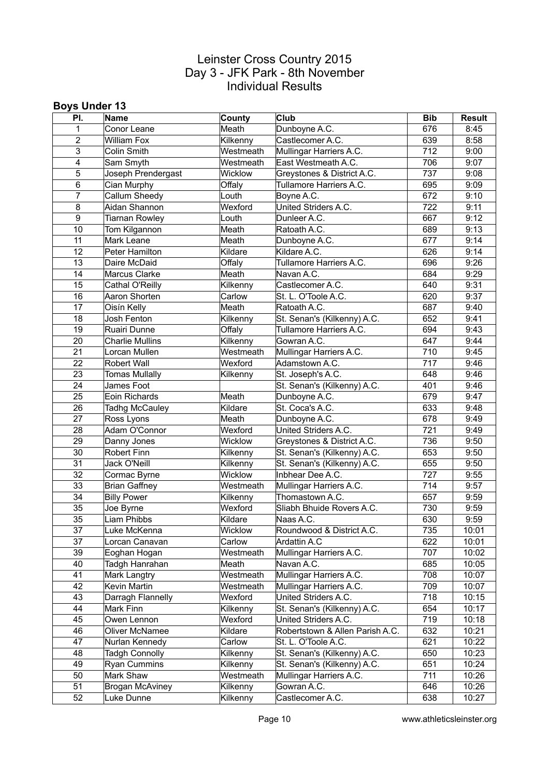#### **Boys Under 13**

| PI.            | Name                   | County    | <b>Club</b>                     | <b>Bib</b> | <b>Result</b> |
|----------------|------------------------|-----------|---------------------------------|------------|---------------|
| 1              | Conor Leane            | Meath     | Dunboyne A.C.                   | 676        | 8:45          |
| $\overline{2}$ | <b>William Fox</b>     | Kilkenny  | Castlecomer A.C.                | 639        | 8:58          |
| 3              | Colin Smith            | Westmeath | Mullingar Harriers A.C.         | 712        | 9:00          |
| 4              | Sam Smyth              | Westmeath | East Westmeath A.C.             | 706        | 9:07          |
| 5              | Joseph Prendergast     | Wicklow   | Greystones & District A.C.      | 737        | 9:08          |
| 6              | Cian Murphy            | Offaly    | Tullamore Harriers A.C.         | 695        | 9:09          |
| $\overline{7}$ | Callum Sheedy          | Louth     | Boyne A.C.                      | 672        | 9:10          |
| 8              | Aidan Shannon          | Wexford   | United Striders A.C.            | 722        | 9:11          |
| 9              | Tiarnan Rowley         | Louth     | Dunleer A.C.                    | 667        | 9:12          |
| 10             | Tom Kilgannon          | Meath     | Ratoath A.C.                    | 689        | 9:13          |
| 11             | Mark Leane             | Meath     | Dunboyne A.C.                   | 677        | 9:14          |
| 12             | Peter Hamilton         | Kildare   | Kildare A.C.                    | 626        | 9:14          |
| 13             | Daire McDaid           | Offaly    | Tullamore Harriers A.C.         | 696        | 9:26          |
| 14             | Marcus Clarke          | Meath     | Navan A.C.                      | 684        | 9:29          |
| 15             | Cathal O'Reilly        | Kilkenny  | Castlecomer A.C.                | 640        | 9:31          |
| 16             | Aaron Shorten          | Carlow    | St. L. O'Toole A.C.             | 620        | 9:37          |
| 17             | Oisín Kelly            | Meath     | Ratoath A.C.                    | 687        | 9:40          |
| 18             | Josh Fenton            | Kilkenny  | St. Senan's (Kilkenny) A.C.     | 652        | 9:41          |
| 19             | Ruairi Dunne           | Offaly    | Tullamore Harriers A.C.         | 694        | 9:43          |
| 20             | <b>Charlie Mullins</b> | Kilkenny  | Gowran A.C.                     | 647        | 9:44          |
| 21             | Lorcan Mullen          | Westmeath | Mullingar Harriers A.C.         | 710        | 9:45          |
| 22             | <b>Robert Wall</b>     | Wexford   | Adamstown A.C.                  | 717        | 9:46          |
| 23             | <b>Tomas Mullally</b>  | Kilkenny  | St. Joseph's A.C.               | 648        | 9:46          |
| 24             | James Foot             |           | St. Senan's (Kilkenny) A.C.     | 401        | 9:46          |
| 25             | Eoin Richards          | Meath     | Dunboyne A.C.                   | 679        | 9:47          |
| 26             | Tadhg McCauley         | Kildare   | St. Coca's A.C.                 | 633        | 9:48          |
| 27             | Ross Lyons             | Meath     | Dunboyne A.C.                   | 678        | 9:49          |
| 28             | Adam O'Connor          | Wexford   | United Striders A.C.            | 721        | 9:49          |
| 29             | Danny Jones            | Wicklow   | Greystones & District A.C.      | 736        | 9:50          |
| 30             | Robert Finn            | Kilkenny  | St. Senan's (Kilkenny) A.C.     | 653        | 9:50          |
| 31             | Jack O'Neill           | Kilkenny  | St. Senan's (Kilkenny) A.C.     | 655        | 9:50          |
| 32             | Cormac Byrne           | Wicklow   | Inbhear Dee A.C.                | 727        | 9:55          |
| 33             | <b>Brian Gaffney</b>   | Westmeath | Mullingar Harriers A.C.         | 714        | 9:57          |
| 34             | <b>Billy Power</b>     | Kilkenny  | Thomastown A.C.                 | 657        | 9:59          |
| 35             | Joe Byrne              | Wexford   | Sliabh Bhuide Rovers A.C.       | 730        | 9:59          |
| 35             | Liam Phibbs            | Kildare   | Naas A.C.                       | 630        | 9:59          |
| 37             | Luke McKenna           | Wicklow   | Roundwood & District A.C.       | 735        | 10:01         |
| 37             | Lorcan Canavan         | Carlow    | Ardattin A.C                    | 622        | 10:01         |
| 39             | Eoghan Hogan           | Westmeath | Mullingar Harriers A.C.         | 707        | 10:02         |
| 40             | Tadgh Hanrahan         | Meath     | Navan A.C.                      | 685        | 10:05         |
| 41             | Mark Langtry           | Westmeath | Mullingar Harriers A.C.         | 708        | 10:07         |
| 42             | Kevin Martin           | Westmeath | Mullingar Harriers A.C.         | 709        | 10:07         |
| 43             | Darragh Flannelly      | Wexford   | United Striders A.C.            | 718        | 10:15         |
| 44             | Mark Finn              | Kilkenny  | St. Senan's (Kilkenny) A.C.     | 654        | 10:17         |
| 45             | Owen Lennon            | Wexford   | United Striders A.C.            | 719        | 10:18         |
| 46             | Oliver McNamee         | Kildare   | Robertstown & Allen Parish A.C. | 632        | 10:21         |
| 47             | Nurlan Kennedy         | Carlow    | St. L. O'Toole A.C.             | 621        | 10:22         |
| 48             | <b>Tadgh Connolly</b>  | Kilkenny  | St. Senan's (Kilkenny) A.C.     | 650        | 10:23         |
| 49             | Ryan Cummins           | Kilkenny  | St. Senan's (Kilkenny) A.C.     | 651        | 10:24         |
| 50             | Mark Shaw              | Westmeath | Mullingar Harriers A.C.         | 711        | 10:26         |
| 51             | <b>Brogan McAviney</b> | Kilkenny  | Gowran A.C.                     | 646        | 10:26         |
| 52             | Luke Dunne             | Kilkenny  | Castlecomer A.C.                | 638        | 10:27         |
|                |                        |           |                                 |            |               |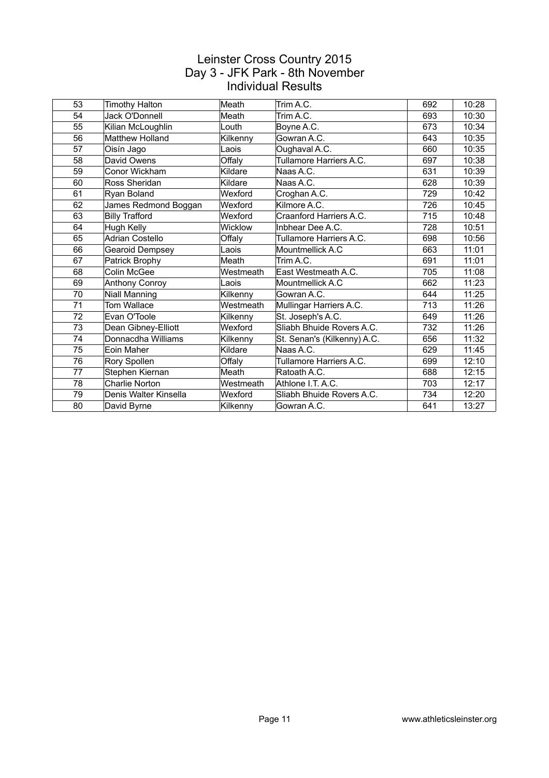| 53 | <b>Timothy Halton</b>  | Meath     | Trim A.C.                   | 692 | 10:28 |
|----|------------------------|-----------|-----------------------------|-----|-------|
| 54 | Jack O'Donnell         | Meath     | Trim A.C.                   | 693 | 10:30 |
| 55 | Kilian McLoughlin      | Louth     | Boyne A.C.                  | 673 | 10:34 |
| 56 | <b>Matthew Holland</b> | Kilkenny  | Gowran A.C.                 | 643 | 10:35 |
| 57 | Oisín Jago             | Laois     | Oughaval A.C.               | 660 | 10:35 |
| 58 | David Owens            | Offaly    | Tullamore Harriers A.C.     | 697 | 10:38 |
| 59 | Conor Wickham          | Kildare   | Naas A.C.                   | 631 | 10:39 |
| 60 | Ross Sheridan          | Kildare   | Naas A.C.                   | 628 | 10:39 |
| 61 | Ryan Boland            | Wexford   | Croghan A.C.                | 729 | 10:42 |
| 62 | James Redmond Boggan   | Wexford   | Kilmore A.C.                | 726 | 10:45 |
| 63 | <b>Billy Trafford</b>  | Wexford   | Craanford Harriers A.C.     | 715 | 10:48 |
| 64 | Hugh Kelly             | Wicklow   | Inbhear Dee A.C.            | 728 | 10:51 |
| 65 | <b>Adrian Costello</b> | Offaly    | Tullamore Harriers A.C.     | 698 | 10:56 |
| 66 | <b>Gearoid Dempsey</b> | Laois     | Mountmellick A.C            | 663 | 11:01 |
| 67 | Patrick Brophy         | Meath     | Trim A.C.                   | 691 | 11:01 |
| 68 | Colin McGee            | Westmeath | East Westmeath A.C.         | 705 | 11:08 |
| 69 | Anthony Conroy         | Laois     | Mountmellick A.C            | 662 | 11:23 |
| 70 | Niall Manning          | Kilkenny  | Gowran A.C.                 | 644 | 11:25 |
| 71 | Tom Wallace            | Westmeath | Mullingar Harriers A.C.     | 713 | 11:26 |
| 72 | Evan O'Toole           | Kilkenny  | St. Joseph's A.C.           | 649 | 11:26 |
| 73 | Dean Gibney-Elliott    | Wexford   | Sliabh Bhuide Rovers A.C.   | 732 | 11:26 |
| 74 | Donnacdha Williams     | Kilkenny  | St. Senan's (Kilkenny) A.C. | 656 | 11:32 |
| 75 | Eoin Maher             | Kildare   | Naas A.C.                   | 629 | 11:45 |
| 76 | Rory Spollen           | Offaly    | Tullamore Harriers A.C.     | 699 | 12:10 |
| 77 | Stephen Kiernan        | Meath     | Ratoath A.C.                | 688 | 12:15 |
| 78 | <b>Charlie Norton</b>  | Westmeath | Athlone I.T. A.C.           | 703 | 12:17 |
| 79 | Denis Walter Kinsella  | Wexford   | Sliabh Bhuide Rovers A.C.   | 734 | 12:20 |
| 80 | David Byrne            | Kilkenny  | Gowran A.C.                 | 641 | 13:27 |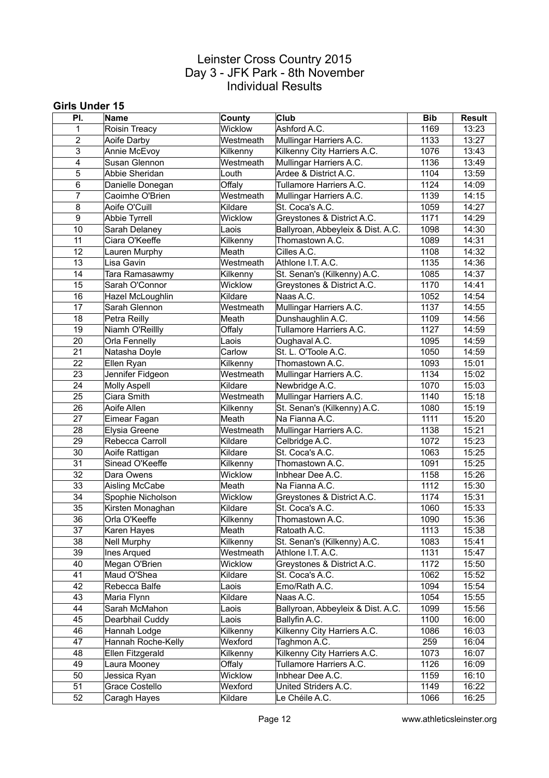#### **Girls Under 15**

| PI.            | Name                | County            | <b>Club</b>                                   | <b>Bib</b>   | <b>Result</b>  |
|----------------|---------------------|-------------------|-----------------------------------------------|--------------|----------------|
| $\mathbf{1}$   | Roisin Treacy       | Wicklow           | Ashford A.C.                                  | 1169         | 13:23          |
| $\overline{2}$ | Aoife Darby         | Westmeath         | Mullingar Harriers A.C.                       | 1133         | 13:27          |
| 3              | Annie McEvoy        | Kilkenny          | Kilkenny City Harriers A.C.                   | 1076         | 13:43          |
| 4              | Susan Glennon       | Westmeath         | Mullingar Harriers A.C.                       | 1136         | 13:49          |
| 5              | Abbie Sheridan      | Louth             | Ardee & District A.C.                         | 1104         | 13:59          |
| 6              | Danielle Donegan    | Offaly            | Tullamore Harriers A.C.                       | 1124         | 14:09          |
| $\overline{7}$ | Caoimhe O'Brien     | Westmeath         | Mullingar Harriers A.C.                       | 1139         | 14:15          |
| 8              | Aoife O'Cuill       | Kildare           | St. Coca's A.C.                               | 1059         | 14:27          |
| 9              | Abbie Tyrrell       | Wicklow           | Greystones & District A.C.                    | 1171         | 14:29          |
| 10             | Sarah Delaney       | Laois             | Ballyroan, Abbeyleix & Dist. A.C.             | 1098         | 14:30          |
| 11             | Ciara O'Keeffe      | Kilkenny          | Thomastown A.C.                               | 1089         | 14:31          |
| 12             | Lauren Murphy       | Meath             | Cilles A.C.                                   | 1108         | 14:32          |
| 13             | Lisa Gavin          | Westmeath         | Athlone I.T. A.C.                             | 1135         | 14:36          |
| 14             | Tara Ramasawmy      | Kilkenny          | St. Senan's (Kilkenny) A.C.                   | 1085         | 14:37          |
| 15             | Sarah O'Connor      | Wicklow           | Greystones & District A.C.                    | 1170         | 14:41          |
| 16             | Hazel McLoughlin    | Kildare           | Naas A.C.                                     | 1052         | 14:54          |
| 17             | Sarah Glennon       | Westmeath         | Mullingar Harriers A.C.                       | 1137         | 14:55          |
| 18             | Petra Reilly        | Meath             | Dunshaughlin A.C.                             | 1109         | 14:56          |
| 19             | Niamh O'Reillly     | Offaly            | Tullamore Harriers A.C.                       | 1127         | 14:59          |
| 20             | Orla Fennelly       | Laois             | Oughaval A.C.                                 | 1095         | 14:59          |
| 21             | Natasha Doyle       | Carlow            | St. L. O'Toole A.C.                           | 1050         | 14:59          |
| 22             |                     | Kilkenny          | Thomastown A.C.                               | 1093         | 15:01          |
| 23             | Ellen Ryan          | Westmeath         |                                               | 1134         | 15:02          |
| 24             | Jennifer Fidgeon    | Kildare           | Mullingar Harriers A.C.                       | 1070         |                |
|                | <b>Molly Aspell</b> |                   | Newbridge A.C.                                |              | 15:03          |
| 25             | Ciara Smith         | Westmeath         | Mullingar Harriers A.C.                       | 1140         | 15:18          |
| 26<br>27       | Aoife Allen         | Kilkenny<br>Meath | St. Senan's (Kilkenny) A.C.<br>Na Fianna A.C. | 1080<br>1111 | 15:19<br>15:20 |
|                | Eimear Fagan        |                   |                                               |              |                |
| 28             | Elysia Greene       | Westmeath         | Mullingar Harriers A.C.                       | 1138         | 15:21          |
| 29             | Rebecca Carroll     | Kildare           | Celbridge A.C.                                | 1072         | 15:23          |
| 30             | Aoife Rattigan      | Kildare           | St. Coca's A.C.                               | 1063         | 15:25          |
| 31             | Sinead O'Keeffe     | Kilkenny          | Thomastown A.C.                               | 1091         | 15:25          |
| 32             | Dara Owens          | Wicklow           | Inbhear Dee A.C.                              | 1158         | 15:26          |
| 33             | Aisling McCabe      | Meath             | Na Fianna A.C.                                | 1112         | 15:30          |
| 34             | Spophie Nicholson   | Wicklow           | Greystones & District A.C.                    | 1174         | 15:31          |
| 35             | Kirsten Monaghan    | Kildare           | St. Coca's A.C.                               | 1060         | 15:33          |
| 36             | Orla O'Keeffe       | Kilkenny          | Thomastown A.C.                               | 1090         | 15:36          |
| 37             | Karen Hayes         | Meath             | Ratoath A.C.                                  | 1113         | 15:38          |
| 38             | <b>Nell Murphy</b>  | Kilkenny          | St. Senan's (Kilkenny) A.C.                   | 1083         | 15:41          |
| 39             | <b>Ines Arqued</b>  | Westmeath         | Athlone I.T. A.C.                             | 1131         | 15:47          |
| 40             | Megan O'Brien       | Wicklow           | Greystones & District A.C.                    | 1172         | 15:50          |
| 41             | Maud O'Shea         | Kildare           | St. Coca's A.C.                               | 1062         | 15:52          |
| 42             | Rebecca Balfe       | Laois             | Emo/Rath A.C.                                 | 1094         | 15:54          |
| 43             | Maria Flynn         | Kildare           | Naas A.C.                                     | 1054         | 15:55          |
| 44             | Sarah McMahon       | Laois             | Ballyroan, Abbeyleix & Dist. A.C.             | 1099         | 15:56          |
| 45             | Dearbhail Cuddy     | Laois             | Ballyfin A.C.                                 | 1100         | 16:00          |
| 46             | Hannah Lodge        | Kilkenny          | Kilkenny City Harriers A.C.                   | 1086         | 16:03          |
| 47             | Hannah Roche-Kelly  | Wexford           | Taghmon A.C.                                  | 259          | 16:04          |
| 48             | Ellen Fitzgerald    | Kilkenny          | Kilkenny City Harriers A.C.                   | 1073         | 16:07          |
| 49             | Laura Mooney        | Offaly            | Tullamore Harriers A.C.                       | 1126         | 16:09          |
| 50             | Jessica Ryan        | Wicklow           | Inbhear Dee A.C.                              | 1159         | 16:10          |
| 51             | Grace Costello      | Wexford           | United Striders A.C.                          | 1149         | 16:22          |
| 52             | Caragh Hayes        | Kildare           | Le Chéile A.C.                                | 1066         | 16:25          |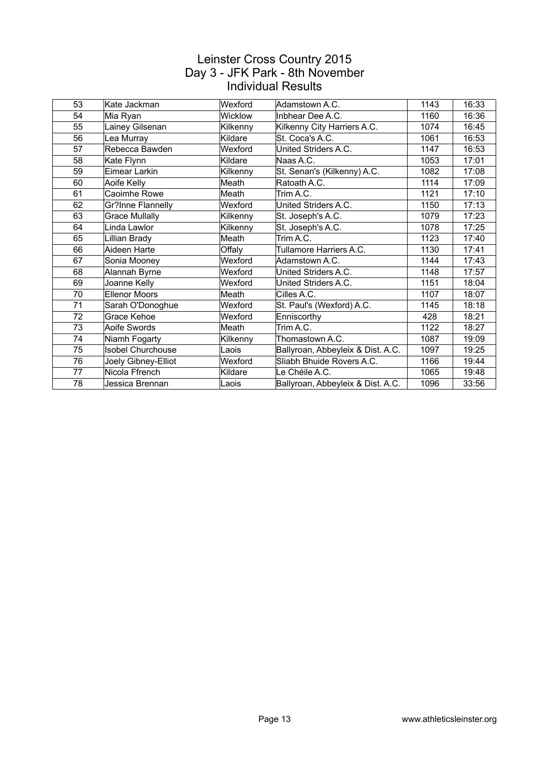| 53 | Kate Jackman             | Wexford        | Adamstown A.C.                    | 1143 | 16:33 |
|----|--------------------------|----------------|-----------------------------------|------|-------|
| 54 | Mia Ryan                 | <b>Wicklow</b> | Inbhear Dee A.C.                  | 1160 | 16:36 |
| 55 | Lainey Gilsenan          | Kilkenny       | Kilkenny City Harriers A.C.       | 1074 | 16:45 |
| 56 | Lea Murray               | Kildare        | St. Coca's A.C.                   | 1061 | 16:53 |
| 57 | Rebecca Bawden           | Wexford        | United Striders A.C.              | 1147 | 16:53 |
| 58 | Kate Flynn               | Kildare        | Naas A.C.                         | 1053 | 17:01 |
| 59 | Eimear Larkin            | Kilkenny       | St. Senan's (Kilkenny) A.C.       | 1082 | 17:08 |
| 60 | Aoife Kelly              | Meath          | Ratoath A.C.                      | 1114 | 17:09 |
| 61 | Caoimhe Rowe             | Meath          | Trim A.C.                         | 1121 | 17:10 |
| 62 | Gr?Inne Flannelly        | Wexford        | United Striders A.C.              | 1150 | 17:13 |
| 63 | <b>Grace Mullally</b>    | Kilkenny       | St. Joseph's A.C.                 | 1079 | 17:23 |
| 64 | Linda Lawlor             | Kilkenny       | St. Joseph's A.C.                 | 1078 | 17:25 |
| 65 | Lillian Brady            | Meath          | Trim A.C.                         | 1123 | 17:40 |
| 66 | Aideen Harte             | Offaly         | Tullamore Harriers A.C.           | 1130 | 17:41 |
| 67 | Sonia Mooney             | Wexford        | Adamstown A.C.                    | 1144 | 17:43 |
| 68 | Alannah Byrne            | Wexford        | United Striders A.C.              | 1148 | 17:57 |
| 69 | Joanne Kelly             | Wexford        | United Striders A.C.              | 1151 | 18:04 |
| 70 | <b>Ellenor Moors</b>     | Meath          | Cilles A.C.                       | 1107 | 18:07 |
| 71 | Sarah O'Donoghue         | Wexford        | St. Paul's (Wexford) A.C.         | 1145 | 18:18 |
| 72 | Grace Kehoe              | Wexford        | Enniscorthy                       | 428  | 18:21 |
| 73 | Aoife Swords             | Meath          | Trim A.C.                         | 1122 | 18:27 |
| 74 | Niamh Fogarty            | Kilkenny       | Thomastown A.C.                   | 1087 | 19:09 |
| 75 | <b>Isobel Churchouse</b> | Laois          | Ballyroan, Abbeyleix & Dist. A.C. | 1097 | 19:25 |
| 76 | Joely Gibney-Elliot      | Wexford        | Sliabh Bhuide Rovers A.C.         | 1166 | 19:44 |
| 77 | Nicola Ffrench           | Kildare        | Le Chéile A.C.                    | 1065 | 19:48 |
| 78 | Jessica Brennan          | Laois          | Ballyroan, Abbeyleix & Dist. A.C. | 1096 | 33:56 |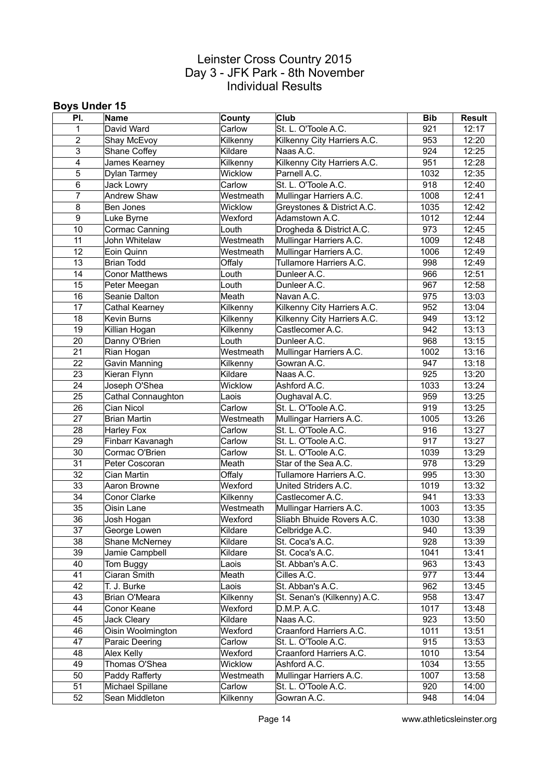#### **Boys Under 15**

| Carlow<br>St. L. O'Toole A.C.<br>David Ward<br>921<br>12:17<br>1<br>$\overline{2}$<br>953<br>Kilkenny<br>Kilkenny City Harriers A.C.<br>12:20<br>Shay McEvoy<br>3<br>924<br>12:25<br>Shane Coffey<br>Kildare<br>Naas A.C.<br>Kilkenny City Harriers A.C.<br>951<br>4<br>James Kearney<br>Kilkenny<br>12:28<br>5<br>12:35<br>Wicklow<br>Parnell A.C.<br>1032<br>Dylan Tarmey<br>Carlow<br>St. L. O'Toole A.C.<br>918<br>12:40<br>6<br>Jack Lowry<br>Andrew Shaw<br>1008<br>$\overline{7}$<br>Westmeath<br>Mullingar Harriers A.C.<br>12:41<br>1035<br>12:42<br>8<br>Wicklow<br>Greystones & District A.C.<br>Ben Jones<br>Adamstown A.C.<br>12:44<br>9<br>Wexford<br>1012<br>Luke Byrne<br>973<br>10<br>Cormac Canning<br>Louth<br>Drogheda & District A.C.<br>12:45<br>Westmeath<br>John Whitelaw<br>Mullingar Harriers A.C.<br>1009<br>12:48<br>11<br>12<br>Mullingar Harriers A.C.<br>1006<br>12:49<br>Westmeath<br>Eoin Quinn<br>13<br>Tullamore Harriers A.C.<br>998<br>12:49<br><b>Brian Todd</b><br>Offaly<br>966<br>12:51<br>14<br><b>Conor Matthews</b><br>Dunleer A.C.<br>Louth<br>12:58<br>15<br>Louth<br>Dunleer A.C.<br>967<br>Peter Meegan<br>Meath<br>975<br>13:03<br>16<br>Seanie Dalton<br>Navan A.C.<br>Kilkenny City Harriers A.C.<br>952<br>13:04<br>17<br>Cathal Kearney<br>Kilkenny<br>18<br>Kilkenny<br>Kilkenny City Harriers A.C.<br>949<br>13:12<br>Kevin Burns<br>942<br>13:13<br>19<br>Killian Hogan<br>Kilkenny<br>Castlecomer A.C.<br>20<br>Dunleer A.C.<br>968<br>13:15<br>Danny O'Brien<br>Louth<br>21<br>1002<br>13:16<br>Rian Hogan<br>Westmeath<br>Mullingar Harriers A.C.<br>22<br>947<br>Gavin Manning<br>Kilkenny<br>Gowran A.C.<br>13:18<br>23<br>Naas A.C.<br>925<br>13:20<br>Kieran Flynn<br>Kildare<br>24<br>13:24<br>Joseph O'Shea<br>Wicklow<br>Ashford A.C.<br>1033<br>25<br>959<br>Cathal Connaughton<br>Oughaval A.C.<br>13:25<br>Laois<br>919<br>26<br>Cian Nicol<br>Carlow<br>St. L. O'Toole A.C.<br>13:25<br>27<br>13:26<br><b>Brian Martin</b><br>Westmeath<br>Mullingar Harriers A.C.<br>1005<br>916<br>28<br>Carlow<br>St. L. O'Toole A.C.<br>13:27<br><b>Harley Fox</b><br>917<br>29<br>Finbarr Kavanagh<br>St. L. O'Toole A.C.<br>13:27<br>Carlow<br>30<br>Cormac O'Brien<br>St. L. O'Toole A.C.<br>1039<br>13:29<br>Carlow<br>31<br>978<br>13:29<br>Meath<br>Star of the Sea A.C.<br>Peter Coscoran<br>32<br>995<br>Cian Martin<br>Offaly<br>Tullamore Harriers A.C.<br>13:30<br>1019<br>33<br>Wexford<br>United Striders A.C.<br>13:32<br>Aaron Browne<br>34<br>Conor Clarke<br>Kilkenny<br>Castlecomer A.C.<br>941<br>13:33<br>35<br>1003<br>Westmeath<br>Mullingar Harriers A.C.<br>13:35<br>Oisin Lane<br>36<br>Sliabh Bhuide Rovers A.C.<br>1030<br>13:38<br>Josh Hogan<br>Wexford<br>37<br>940<br>George Lowen<br>Kildare<br>Celbridge A.C.<br>13:39<br>Kildare<br>928<br>38<br>Shane McNerney<br>St. Coca's A.C.<br>13:39<br>1041<br>39<br>Jamie Campbell<br>Kildare<br>St. Coca's A.C.<br>13:41<br>40<br>St. Abban's A.C.<br>963<br>13:43<br>Tom Buggy<br>Laois<br>977<br>41<br>Ciaran Smith<br>Meath<br>Cilles A.C.<br>13:44<br>42<br>962<br>T. J. Burke<br>Laois<br>St. Abban's A.C.<br>13:45<br>958<br>43<br>Kilkenny<br>St. Senan's (Kilkenny) A.C.<br>13:47<br>Brian O'Meara<br>44<br>Conor Keane<br>Wexford<br>1017<br>13:48<br>D.M.P. A.C.<br>45<br>Jack Cleary<br>Kildare<br>Naas A.C.<br>923<br>13:50<br>1011<br>46<br>Oisin Woolmington<br>Wexford<br>Craanford Harriers A.C.<br>13:51<br>915<br>47<br>Carlow<br>St. L. O'Toole A.C.<br>13:53<br>Paraic Deering<br>1010<br>48<br>Alex Kelly<br>Wexford<br>Craanford Harriers A.C.<br>13:54<br>Thomas O'Shea<br>Ashford A.C.<br>1034<br>49<br>Wicklow<br>13:55<br>50<br>Paddy Rafferty<br>Westmeath<br>Mullingar Harriers A.C.<br>1007<br>13:58<br>Carlow<br>51<br>Michael Spillane<br>St. L. O'Toole A.C.<br>920<br>14:00 | PI. | Name | County | <b>Club</b> | <b>Bib</b> | <b>Result</b> |
|----------------------------------------------------------------------------------------------------------------------------------------------------------------------------------------------------------------------------------------------------------------------------------------------------------------------------------------------------------------------------------------------------------------------------------------------------------------------------------------------------------------------------------------------------------------------------------------------------------------------------------------------------------------------------------------------------------------------------------------------------------------------------------------------------------------------------------------------------------------------------------------------------------------------------------------------------------------------------------------------------------------------------------------------------------------------------------------------------------------------------------------------------------------------------------------------------------------------------------------------------------------------------------------------------------------------------------------------------------------------------------------------------------------------------------------------------------------------------------------------------------------------------------------------------------------------------------------------------------------------------------------------------------------------------------------------------------------------------------------------------------------------------------------------------------------------------------------------------------------------------------------------------------------------------------------------------------------------------------------------------------------------------------------------------------------------------------------------------------------------------------------------------------------------------------------------------------------------------------------------------------------------------------------------------------------------------------------------------------------------------------------------------------------------------------------------------------------------------------------------------------------------------------------------------------------------------------------------------------------------------------------------------------------------------------------------------------------------------------------------------------------------------------------------------------------------------------------------------------------------------------------------------------------------------------------------------------------------------------------------------------------------------------------------------------------------------------------------------------------------------------------------------------------------------------------------------------------------------------------------------------------------------------------------------------------------------------------------------------------------------------------------------------------------------------------------------------------------------------------------------------------------------------------------------------------------------------------------------------------------------------------------------------------------------------------------------------------------------------------------------------------------------------------------------------------------------------------------------|-----|------|--------|-------------|------------|---------------|
|                                                                                                                                                                                                                                                                                                                                                                                                                                                                                                                                                                                                                                                                                                                                                                                                                                                                                                                                                                                                                                                                                                                                                                                                                                                                                                                                                                                                                                                                                                                                                                                                                                                                                                                                                                                                                                                                                                                                                                                                                                                                                                                                                                                                                                                                                                                                                                                                                                                                                                                                                                                                                                                                                                                                                                                                                                                                                                                                                                                                                                                                                                                                                                                                                                                                                                                                                                                                                                                                                                                                                                                                                                                                                                                                                                                                                                                    |     |      |        |             |            |               |
|                                                                                                                                                                                                                                                                                                                                                                                                                                                                                                                                                                                                                                                                                                                                                                                                                                                                                                                                                                                                                                                                                                                                                                                                                                                                                                                                                                                                                                                                                                                                                                                                                                                                                                                                                                                                                                                                                                                                                                                                                                                                                                                                                                                                                                                                                                                                                                                                                                                                                                                                                                                                                                                                                                                                                                                                                                                                                                                                                                                                                                                                                                                                                                                                                                                                                                                                                                                                                                                                                                                                                                                                                                                                                                                                                                                                                                                    |     |      |        |             |            |               |
|                                                                                                                                                                                                                                                                                                                                                                                                                                                                                                                                                                                                                                                                                                                                                                                                                                                                                                                                                                                                                                                                                                                                                                                                                                                                                                                                                                                                                                                                                                                                                                                                                                                                                                                                                                                                                                                                                                                                                                                                                                                                                                                                                                                                                                                                                                                                                                                                                                                                                                                                                                                                                                                                                                                                                                                                                                                                                                                                                                                                                                                                                                                                                                                                                                                                                                                                                                                                                                                                                                                                                                                                                                                                                                                                                                                                                                                    |     |      |        |             |            |               |
|                                                                                                                                                                                                                                                                                                                                                                                                                                                                                                                                                                                                                                                                                                                                                                                                                                                                                                                                                                                                                                                                                                                                                                                                                                                                                                                                                                                                                                                                                                                                                                                                                                                                                                                                                                                                                                                                                                                                                                                                                                                                                                                                                                                                                                                                                                                                                                                                                                                                                                                                                                                                                                                                                                                                                                                                                                                                                                                                                                                                                                                                                                                                                                                                                                                                                                                                                                                                                                                                                                                                                                                                                                                                                                                                                                                                                                                    |     |      |        |             |            |               |
|                                                                                                                                                                                                                                                                                                                                                                                                                                                                                                                                                                                                                                                                                                                                                                                                                                                                                                                                                                                                                                                                                                                                                                                                                                                                                                                                                                                                                                                                                                                                                                                                                                                                                                                                                                                                                                                                                                                                                                                                                                                                                                                                                                                                                                                                                                                                                                                                                                                                                                                                                                                                                                                                                                                                                                                                                                                                                                                                                                                                                                                                                                                                                                                                                                                                                                                                                                                                                                                                                                                                                                                                                                                                                                                                                                                                                                                    |     |      |        |             |            |               |
|                                                                                                                                                                                                                                                                                                                                                                                                                                                                                                                                                                                                                                                                                                                                                                                                                                                                                                                                                                                                                                                                                                                                                                                                                                                                                                                                                                                                                                                                                                                                                                                                                                                                                                                                                                                                                                                                                                                                                                                                                                                                                                                                                                                                                                                                                                                                                                                                                                                                                                                                                                                                                                                                                                                                                                                                                                                                                                                                                                                                                                                                                                                                                                                                                                                                                                                                                                                                                                                                                                                                                                                                                                                                                                                                                                                                                                                    |     |      |        |             |            |               |
|                                                                                                                                                                                                                                                                                                                                                                                                                                                                                                                                                                                                                                                                                                                                                                                                                                                                                                                                                                                                                                                                                                                                                                                                                                                                                                                                                                                                                                                                                                                                                                                                                                                                                                                                                                                                                                                                                                                                                                                                                                                                                                                                                                                                                                                                                                                                                                                                                                                                                                                                                                                                                                                                                                                                                                                                                                                                                                                                                                                                                                                                                                                                                                                                                                                                                                                                                                                                                                                                                                                                                                                                                                                                                                                                                                                                                                                    |     |      |        |             |            |               |
|                                                                                                                                                                                                                                                                                                                                                                                                                                                                                                                                                                                                                                                                                                                                                                                                                                                                                                                                                                                                                                                                                                                                                                                                                                                                                                                                                                                                                                                                                                                                                                                                                                                                                                                                                                                                                                                                                                                                                                                                                                                                                                                                                                                                                                                                                                                                                                                                                                                                                                                                                                                                                                                                                                                                                                                                                                                                                                                                                                                                                                                                                                                                                                                                                                                                                                                                                                                                                                                                                                                                                                                                                                                                                                                                                                                                                                                    |     |      |        |             |            |               |
|                                                                                                                                                                                                                                                                                                                                                                                                                                                                                                                                                                                                                                                                                                                                                                                                                                                                                                                                                                                                                                                                                                                                                                                                                                                                                                                                                                                                                                                                                                                                                                                                                                                                                                                                                                                                                                                                                                                                                                                                                                                                                                                                                                                                                                                                                                                                                                                                                                                                                                                                                                                                                                                                                                                                                                                                                                                                                                                                                                                                                                                                                                                                                                                                                                                                                                                                                                                                                                                                                                                                                                                                                                                                                                                                                                                                                                                    |     |      |        |             |            |               |
|                                                                                                                                                                                                                                                                                                                                                                                                                                                                                                                                                                                                                                                                                                                                                                                                                                                                                                                                                                                                                                                                                                                                                                                                                                                                                                                                                                                                                                                                                                                                                                                                                                                                                                                                                                                                                                                                                                                                                                                                                                                                                                                                                                                                                                                                                                                                                                                                                                                                                                                                                                                                                                                                                                                                                                                                                                                                                                                                                                                                                                                                                                                                                                                                                                                                                                                                                                                                                                                                                                                                                                                                                                                                                                                                                                                                                                                    |     |      |        |             |            |               |
|                                                                                                                                                                                                                                                                                                                                                                                                                                                                                                                                                                                                                                                                                                                                                                                                                                                                                                                                                                                                                                                                                                                                                                                                                                                                                                                                                                                                                                                                                                                                                                                                                                                                                                                                                                                                                                                                                                                                                                                                                                                                                                                                                                                                                                                                                                                                                                                                                                                                                                                                                                                                                                                                                                                                                                                                                                                                                                                                                                                                                                                                                                                                                                                                                                                                                                                                                                                                                                                                                                                                                                                                                                                                                                                                                                                                                                                    |     |      |        |             |            |               |
|                                                                                                                                                                                                                                                                                                                                                                                                                                                                                                                                                                                                                                                                                                                                                                                                                                                                                                                                                                                                                                                                                                                                                                                                                                                                                                                                                                                                                                                                                                                                                                                                                                                                                                                                                                                                                                                                                                                                                                                                                                                                                                                                                                                                                                                                                                                                                                                                                                                                                                                                                                                                                                                                                                                                                                                                                                                                                                                                                                                                                                                                                                                                                                                                                                                                                                                                                                                                                                                                                                                                                                                                                                                                                                                                                                                                                                                    |     |      |        |             |            |               |
|                                                                                                                                                                                                                                                                                                                                                                                                                                                                                                                                                                                                                                                                                                                                                                                                                                                                                                                                                                                                                                                                                                                                                                                                                                                                                                                                                                                                                                                                                                                                                                                                                                                                                                                                                                                                                                                                                                                                                                                                                                                                                                                                                                                                                                                                                                                                                                                                                                                                                                                                                                                                                                                                                                                                                                                                                                                                                                                                                                                                                                                                                                                                                                                                                                                                                                                                                                                                                                                                                                                                                                                                                                                                                                                                                                                                                                                    |     |      |        |             |            |               |
|                                                                                                                                                                                                                                                                                                                                                                                                                                                                                                                                                                                                                                                                                                                                                                                                                                                                                                                                                                                                                                                                                                                                                                                                                                                                                                                                                                                                                                                                                                                                                                                                                                                                                                                                                                                                                                                                                                                                                                                                                                                                                                                                                                                                                                                                                                                                                                                                                                                                                                                                                                                                                                                                                                                                                                                                                                                                                                                                                                                                                                                                                                                                                                                                                                                                                                                                                                                                                                                                                                                                                                                                                                                                                                                                                                                                                                                    |     |      |        |             |            |               |
|                                                                                                                                                                                                                                                                                                                                                                                                                                                                                                                                                                                                                                                                                                                                                                                                                                                                                                                                                                                                                                                                                                                                                                                                                                                                                                                                                                                                                                                                                                                                                                                                                                                                                                                                                                                                                                                                                                                                                                                                                                                                                                                                                                                                                                                                                                                                                                                                                                                                                                                                                                                                                                                                                                                                                                                                                                                                                                                                                                                                                                                                                                                                                                                                                                                                                                                                                                                                                                                                                                                                                                                                                                                                                                                                                                                                                                                    |     |      |        |             |            |               |
|                                                                                                                                                                                                                                                                                                                                                                                                                                                                                                                                                                                                                                                                                                                                                                                                                                                                                                                                                                                                                                                                                                                                                                                                                                                                                                                                                                                                                                                                                                                                                                                                                                                                                                                                                                                                                                                                                                                                                                                                                                                                                                                                                                                                                                                                                                                                                                                                                                                                                                                                                                                                                                                                                                                                                                                                                                                                                                                                                                                                                                                                                                                                                                                                                                                                                                                                                                                                                                                                                                                                                                                                                                                                                                                                                                                                                                                    |     |      |        |             |            |               |
|                                                                                                                                                                                                                                                                                                                                                                                                                                                                                                                                                                                                                                                                                                                                                                                                                                                                                                                                                                                                                                                                                                                                                                                                                                                                                                                                                                                                                                                                                                                                                                                                                                                                                                                                                                                                                                                                                                                                                                                                                                                                                                                                                                                                                                                                                                                                                                                                                                                                                                                                                                                                                                                                                                                                                                                                                                                                                                                                                                                                                                                                                                                                                                                                                                                                                                                                                                                                                                                                                                                                                                                                                                                                                                                                                                                                                                                    |     |      |        |             |            |               |
|                                                                                                                                                                                                                                                                                                                                                                                                                                                                                                                                                                                                                                                                                                                                                                                                                                                                                                                                                                                                                                                                                                                                                                                                                                                                                                                                                                                                                                                                                                                                                                                                                                                                                                                                                                                                                                                                                                                                                                                                                                                                                                                                                                                                                                                                                                                                                                                                                                                                                                                                                                                                                                                                                                                                                                                                                                                                                                                                                                                                                                                                                                                                                                                                                                                                                                                                                                                                                                                                                                                                                                                                                                                                                                                                                                                                                                                    |     |      |        |             |            |               |
|                                                                                                                                                                                                                                                                                                                                                                                                                                                                                                                                                                                                                                                                                                                                                                                                                                                                                                                                                                                                                                                                                                                                                                                                                                                                                                                                                                                                                                                                                                                                                                                                                                                                                                                                                                                                                                                                                                                                                                                                                                                                                                                                                                                                                                                                                                                                                                                                                                                                                                                                                                                                                                                                                                                                                                                                                                                                                                                                                                                                                                                                                                                                                                                                                                                                                                                                                                                                                                                                                                                                                                                                                                                                                                                                                                                                                                                    |     |      |        |             |            |               |
|                                                                                                                                                                                                                                                                                                                                                                                                                                                                                                                                                                                                                                                                                                                                                                                                                                                                                                                                                                                                                                                                                                                                                                                                                                                                                                                                                                                                                                                                                                                                                                                                                                                                                                                                                                                                                                                                                                                                                                                                                                                                                                                                                                                                                                                                                                                                                                                                                                                                                                                                                                                                                                                                                                                                                                                                                                                                                                                                                                                                                                                                                                                                                                                                                                                                                                                                                                                                                                                                                                                                                                                                                                                                                                                                                                                                                                                    |     |      |        |             |            |               |
|                                                                                                                                                                                                                                                                                                                                                                                                                                                                                                                                                                                                                                                                                                                                                                                                                                                                                                                                                                                                                                                                                                                                                                                                                                                                                                                                                                                                                                                                                                                                                                                                                                                                                                                                                                                                                                                                                                                                                                                                                                                                                                                                                                                                                                                                                                                                                                                                                                                                                                                                                                                                                                                                                                                                                                                                                                                                                                                                                                                                                                                                                                                                                                                                                                                                                                                                                                                                                                                                                                                                                                                                                                                                                                                                                                                                                                                    |     |      |        |             |            |               |
|                                                                                                                                                                                                                                                                                                                                                                                                                                                                                                                                                                                                                                                                                                                                                                                                                                                                                                                                                                                                                                                                                                                                                                                                                                                                                                                                                                                                                                                                                                                                                                                                                                                                                                                                                                                                                                                                                                                                                                                                                                                                                                                                                                                                                                                                                                                                                                                                                                                                                                                                                                                                                                                                                                                                                                                                                                                                                                                                                                                                                                                                                                                                                                                                                                                                                                                                                                                                                                                                                                                                                                                                                                                                                                                                                                                                                                                    |     |      |        |             |            |               |
|                                                                                                                                                                                                                                                                                                                                                                                                                                                                                                                                                                                                                                                                                                                                                                                                                                                                                                                                                                                                                                                                                                                                                                                                                                                                                                                                                                                                                                                                                                                                                                                                                                                                                                                                                                                                                                                                                                                                                                                                                                                                                                                                                                                                                                                                                                                                                                                                                                                                                                                                                                                                                                                                                                                                                                                                                                                                                                                                                                                                                                                                                                                                                                                                                                                                                                                                                                                                                                                                                                                                                                                                                                                                                                                                                                                                                                                    |     |      |        |             |            |               |
|                                                                                                                                                                                                                                                                                                                                                                                                                                                                                                                                                                                                                                                                                                                                                                                                                                                                                                                                                                                                                                                                                                                                                                                                                                                                                                                                                                                                                                                                                                                                                                                                                                                                                                                                                                                                                                                                                                                                                                                                                                                                                                                                                                                                                                                                                                                                                                                                                                                                                                                                                                                                                                                                                                                                                                                                                                                                                                                                                                                                                                                                                                                                                                                                                                                                                                                                                                                                                                                                                                                                                                                                                                                                                                                                                                                                                                                    |     |      |        |             |            |               |
|                                                                                                                                                                                                                                                                                                                                                                                                                                                                                                                                                                                                                                                                                                                                                                                                                                                                                                                                                                                                                                                                                                                                                                                                                                                                                                                                                                                                                                                                                                                                                                                                                                                                                                                                                                                                                                                                                                                                                                                                                                                                                                                                                                                                                                                                                                                                                                                                                                                                                                                                                                                                                                                                                                                                                                                                                                                                                                                                                                                                                                                                                                                                                                                                                                                                                                                                                                                                                                                                                                                                                                                                                                                                                                                                                                                                                                                    |     |      |        |             |            |               |
|                                                                                                                                                                                                                                                                                                                                                                                                                                                                                                                                                                                                                                                                                                                                                                                                                                                                                                                                                                                                                                                                                                                                                                                                                                                                                                                                                                                                                                                                                                                                                                                                                                                                                                                                                                                                                                                                                                                                                                                                                                                                                                                                                                                                                                                                                                                                                                                                                                                                                                                                                                                                                                                                                                                                                                                                                                                                                                                                                                                                                                                                                                                                                                                                                                                                                                                                                                                                                                                                                                                                                                                                                                                                                                                                                                                                                                                    |     |      |        |             |            |               |
|                                                                                                                                                                                                                                                                                                                                                                                                                                                                                                                                                                                                                                                                                                                                                                                                                                                                                                                                                                                                                                                                                                                                                                                                                                                                                                                                                                                                                                                                                                                                                                                                                                                                                                                                                                                                                                                                                                                                                                                                                                                                                                                                                                                                                                                                                                                                                                                                                                                                                                                                                                                                                                                                                                                                                                                                                                                                                                                                                                                                                                                                                                                                                                                                                                                                                                                                                                                                                                                                                                                                                                                                                                                                                                                                                                                                                                                    |     |      |        |             |            |               |
|                                                                                                                                                                                                                                                                                                                                                                                                                                                                                                                                                                                                                                                                                                                                                                                                                                                                                                                                                                                                                                                                                                                                                                                                                                                                                                                                                                                                                                                                                                                                                                                                                                                                                                                                                                                                                                                                                                                                                                                                                                                                                                                                                                                                                                                                                                                                                                                                                                                                                                                                                                                                                                                                                                                                                                                                                                                                                                                                                                                                                                                                                                                                                                                                                                                                                                                                                                                                                                                                                                                                                                                                                                                                                                                                                                                                                                                    |     |      |        |             |            |               |
|                                                                                                                                                                                                                                                                                                                                                                                                                                                                                                                                                                                                                                                                                                                                                                                                                                                                                                                                                                                                                                                                                                                                                                                                                                                                                                                                                                                                                                                                                                                                                                                                                                                                                                                                                                                                                                                                                                                                                                                                                                                                                                                                                                                                                                                                                                                                                                                                                                                                                                                                                                                                                                                                                                                                                                                                                                                                                                                                                                                                                                                                                                                                                                                                                                                                                                                                                                                                                                                                                                                                                                                                                                                                                                                                                                                                                                                    |     |      |        |             |            |               |
|                                                                                                                                                                                                                                                                                                                                                                                                                                                                                                                                                                                                                                                                                                                                                                                                                                                                                                                                                                                                                                                                                                                                                                                                                                                                                                                                                                                                                                                                                                                                                                                                                                                                                                                                                                                                                                                                                                                                                                                                                                                                                                                                                                                                                                                                                                                                                                                                                                                                                                                                                                                                                                                                                                                                                                                                                                                                                                                                                                                                                                                                                                                                                                                                                                                                                                                                                                                                                                                                                                                                                                                                                                                                                                                                                                                                                                                    |     |      |        |             |            |               |
|                                                                                                                                                                                                                                                                                                                                                                                                                                                                                                                                                                                                                                                                                                                                                                                                                                                                                                                                                                                                                                                                                                                                                                                                                                                                                                                                                                                                                                                                                                                                                                                                                                                                                                                                                                                                                                                                                                                                                                                                                                                                                                                                                                                                                                                                                                                                                                                                                                                                                                                                                                                                                                                                                                                                                                                                                                                                                                                                                                                                                                                                                                                                                                                                                                                                                                                                                                                                                                                                                                                                                                                                                                                                                                                                                                                                                                                    |     |      |        |             |            |               |
|                                                                                                                                                                                                                                                                                                                                                                                                                                                                                                                                                                                                                                                                                                                                                                                                                                                                                                                                                                                                                                                                                                                                                                                                                                                                                                                                                                                                                                                                                                                                                                                                                                                                                                                                                                                                                                                                                                                                                                                                                                                                                                                                                                                                                                                                                                                                                                                                                                                                                                                                                                                                                                                                                                                                                                                                                                                                                                                                                                                                                                                                                                                                                                                                                                                                                                                                                                                                                                                                                                                                                                                                                                                                                                                                                                                                                                                    |     |      |        |             |            |               |
|                                                                                                                                                                                                                                                                                                                                                                                                                                                                                                                                                                                                                                                                                                                                                                                                                                                                                                                                                                                                                                                                                                                                                                                                                                                                                                                                                                                                                                                                                                                                                                                                                                                                                                                                                                                                                                                                                                                                                                                                                                                                                                                                                                                                                                                                                                                                                                                                                                                                                                                                                                                                                                                                                                                                                                                                                                                                                                                                                                                                                                                                                                                                                                                                                                                                                                                                                                                                                                                                                                                                                                                                                                                                                                                                                                                                                                                    |     |      |        |             |            |               |
|                                                                                                                                                                                                                                                                                                                                                                                                                                                                                                                                                                                                                                                                                                                                                                                                                                                                                                                                                                                                                                                                                                                                                                                                                                                                                                                                                                                                                                                                                                                                                                                                                                                                                                                                                                                                                                                                                                                                                                                                                                                                                                                                                                                                                                                                                                                                                                                                                                                                                                                                                                                                                                                                                                                                                                                                                                                                                                                                                                                                                                                                                                                                                                                                                                                                                                                                                                                                                                                                                                                                                                                                                                                                                                                                                                                                                                                    |     |      |        |             |            |               |
|                                                                                                                                                                                                                                                                                                                                                                                                                                                                                                                                                                                                                                                                                                                                                                                                                                                                                                                                                                                                                                                                                                                                                                                                                                                                                                                                                                                                                                                                                                                                                                                                                                                                                                                                                                                                                                                                                                                                                                                                                                                                                                                                                                                                                                                                                                                                                                                                                                                                                                                                                                                                                                                                                                                                                                                                                                                                                                                                                                                                                                                                                                                                                                                                                                                                                                                                                                                                                                                                                                                                                                                                                                                                                                                                                                                                                                                    |     |      |        |             |            |               |
|                                                                                                                                                                                                                                                                                                                                                                                                                                                                                                                                                                                                                                                                                                                                                                                                                                                                                                                                                                                                                                                                                                                                                                                                                                                                                                                                                                                                                                                                                                                                                                                                                                                                                                                                                                                                                                                                                                                                                                                                                                                                                                                                                                                                                                                                                                                                                                                                                                                                                                                                                                                                                                                                                                                                                                                                                                                                                                                                                                                                                                                                                                                                                                                                                                                                                                                                                                                                                                                                                                                                                                                                                                                                                                                                                                                                                                                    |     |      |        |             |            |               |
|                                                                                                                                                                                                                                                                                                                                                                                                                                                                                                                                                                                                                                                                                                                                                                                                                                                                                                                                                                                                                                                                                                                                                                                                                                                                                                                                                                                                                                                                                                                                                                                                                                                                                                                                                                                                                                                                                                                                                                                                                                                                                                                                                                                                                                                                                                                                                                                                                                                                                                                                                                                                                                                                                                                                                                                                                                                                                                                                                                                                                                                                                                                                                                                                                                                                                                                                                                                                                                                                                                                                                                                                                                                                                                                                                                                                                                                    |     |      |        |             |            |               |
|                                                                                                                                                                                                                                                                                                                                                                                                                                                                                                                                                                                                                                                                                                                                                                                                                                                                                                                                                                                                                                                                                                                                                                                                                                                                                                                                                                                                                                                                                                                                                                                                                                                                                                                                                                                                                                                                                                                                                                                                                                                                                                                                                                                                                                                                                                                                                                                                                                                                                                                                                                                                                                                                                                                                                                                                                                                                                                                                                                                                                                                                                                                                                                                                                                                                                                                                                                                                                                                                                                                                                                                                                                                                                                                                                                                                                                                    |     |      |        |             |            |               |
|                                                                                                                                                                                                                                                                                                                                                                                                                                                                                                                                                                                                                                                                                                                                                                                                                                                                                                                                                                                                                                                                                                                                                                                                                                                                                                                                                                                                                                                                                                                                                                                                                                                                                                                                                                                                                                                                                                                                                                                                                                                                                                                                                                                                                                                                                                                                                                                                                                                                                                                                                                                                                                                                                                                                                                                                                                                                                                                                                                                                                                                                                                                                                                                                                                                                                                                                                                                                                                                                                                                                                                                                                                                                                                                                                                                                                                                    |     |      |        |             |            |               |
|                                                                                                                                                                                                                                                                                                                                                                                                                                                                                                                                                                                                                                                                                                                                                                                                                                                                                                                                                                                                                                                                                                                                                                                                                                                                                                                                                                                                                                                                                                                                                                                                                                                                                                                                                                                                                                                                                                                                                                                                                                                                                                                                                                                                                                                                                                                                                                                                                                                                                                                                                                                                                                                                                                                                                                                                                                                                                                                                                                                                                                                                                                                                                                                                                                                                                                                                                                                                                                                                                                                                                                                                                                                                                                                                                                                                                                                    |     |      |        |             |            |               |
|                                                                                                                                                                                                                                                                                                                                                                                                                                                                                                                                                                                                                                                                                                                                                                                                                                                                                                                                                                                                                                                                                                                                                                                                                                                                                                                                                                                                                                                                                                                                                                                                                                                                                                                                                                                                                                                                                                                                                                                                                                                                                                                                                                                                                                                                                                                                                                                                                                                                                                                                                                                                                                                                                                                                                                                                                                                                                                                                                                                                                                                                                                                                                                                                                                                                                                                                                                                                                                                                                                                                                                                                                                                                                                                                                                                                                                                    |     |      |        |             |            |               |
|                                                                                                                                                                                                                                                                                                                                                                                                                                                                                                                                                                                                                                                                                                                                                                                                                                                                                                                                                                                                                                                                                                                                                                                                                                                                                                                                                                                                                                                                                                                                                                                                                                                                                                                                                                                                                                                                                                                                                                                                                                                                                                                                                                                                                                                                                                                                                                                                                                                                                                                                                                                                                                                                                                                                                                                                                                                                                                                                                                                                                                                                                                                                                                                                                                                                                                                                                                                                                                                                                                                                                                                                                                                                                                                                                                                                                                                    |     |      |        |             |            |               |
|                                                                                                                                                                                                                                                                                                                                                                                                                                                                                                                                                                                                                                                                                                                                                                                                                                                                                                                                                                                                                                                                                                                                                                                                                                                                                                                                                                                                                                                                                                                                                                                                                                                                                                                                                                                                                                                                                                                                                                                                                                                                                                                                                                                                                                                                                                                                                                                                                                                                                                                                                                                                                                                                                                                                                                                                                                                                                                                                                                                                                                                                                                                                                                                                                                                                                                                                                                                                                                                                                                                                                                                                                                                                                                                                                                                                                                                    |     |      |        |             |            |               |
|                                                                                                                                                                                                                                                                                                                                                                                                                                                                                                                                                                                                                                                                                                                                                                                                                                                                                                                                                                                                                                                                                                                                                                                                                                                                                                                                                                                                                                                                                                                                                                                                                                                                                                                                                                                                                                                                                                                                                                                                                                                                                                                                                                                                                                                                                                                                                                                                                                                                                                                                                                                                                                                                                                                                                                                                                                                                                                                                                                                                                                                                                                                                                                                                                                                                                                                                                                                                                                                                                                                                                                                                                                                                                                                                                                                                                                                    |     |      |        |             |            |               |
|                                                                                                                                                                                                                                                                                                                                                                                                                                                                                                                                                                                                                                                                                                                                                                                                                                                                                                                                                                                                                                                                                                                                                                                                                                                                                                                                                                                                                                                                                                                                                                                                                                                                                                                                                                                                                                                                                                                                                                                                                                                                                                                                                                                                                                                                                                                                                                                                                                                                                                                                                                                                                                                                                                                                                                                                                                                                                                                                                                                                                                                                                                                                                                                                                                                                                                                                                                                                                                                                                                                                                                                                                                                                                                                                                                                                                                                    |     |      |        |             |            |               |
|                                                                                                                                                                                                                                                                                                                                                                                                                                                                                                                                                                                                                                                                                                                                                                                                                                                                                                                                                                                                                                                                                                                                                                                                                                                                                                                                                                                                                                                                                                                                                                                                                                                                                                                                                                                                                                                                                                                                                                                                                                                                                                                                                                                                                                                                                                                                                                                                                                                                                                                                                                                                                                                                                                                                                                                                                                                                                                                                                                                                                                                                                                                                                                                                                                                                                                                                                                                                                                                                                                                                                                                                                                                                                                                                                                                                                                                    |     |      |        |             |            |               |
|                                                                                                                                                                                                                                                                                                                                                                                                                                                                                                                                                                                                                                                                                                                                                                                                                                                                                                                                                                                                                                                                                                                                                                                                                                                                                                                                                                                                                                                                                                                                                                                                                                                                                                                                                                                                                                                                                                                                                                                                                                                                                                                                                                                                                                                                                                                                                                                                                                                                                                                                                                                                                                                                                                                                                                                                                                                                                                                                                                                                                                                                                                                                                                                                                                                                                                                                                                                                                                                                                                                                                                                                                                                                                                                                                                                                                                                    |     |      |        |             |            |               |
|                                                                                                                                                                                                                                                                                                                                                                                                                                                                                                                                                                                                                                                                                                                                                                                                                                                                                                                                                                                                                                                                                                                                                                                                                                                                                                                                                                                                                                                                                                                                                                                                                                                                                                                                                                                                                                                                                                                                                                                                                                                                                                                                                                                                                                                                                                                                                                                                                                                                                                                                                                                                                                                                                                                                                                                                                                                                                                                                                                                                                                                                                                                                                                                                                                                                                                                                                                                                                                                                                                                                                                                                                                                                                                                                                                                                                                                    |     |      |        |             |            |               |
|                                                                                                                                                                                                                                                                                                                                                                                                                                                                                                                                                                                                                                                                                                                                                                                                                                                                                                                                                                                                                                                                                                                                                                                                                                                                                                                                                                                                                                                                                                                                                                                                                                                                                                                                                                                                                                                                                                                                                                                                                                                                                                                                                                                                                                                                                                                                                                                                                                                                                                                                                                                                                                                                                                                                                                                                                                                                                                                                                                                                                                                                                                                                                                                                                                                                                                                                                                                                                                                                                                                                                                                                                                                                                                                                                                                                                                                    |     |      |        |             |            |               |
|                                                                                                                                                                                                                                                                                                                                                                                                                                                                                                                                                                                                                                                                                                                                                                                                                                                                                                                                                                                                                                                                                                                                                                                                                                                                                                                                                                                                                                                                                                                                                                                                                                                                                                                                                                                                                                                                                                                                                                                                                                                                                                                                                                                                                                                                                                                                                                                                                                                                                                                                                                                                                                                                                                                                                                                                                                                                                                                                                                                                                                                                                                                                                                                                                                                                                                                                                                                                                                                                                                                                                                                                                                                                                                                                                                                                                                                    |     |      |        |             |            |               |
|                                                                                                                                                                                                                                                                                                                                                                                                                                                                                                                                                                                                                                                                                                                                                                                                                                                                                                                                                                                                                                                                                                                                                                                                                                                                                                                                                                                                                                                                                                                                                                                                                                                                                                                                                                                                                                                                                                                                                                                                                                                                                                                                                                                                                                                                                                                                                                                                                                                                                                                                                                                                                                                                                                                                                                                                                                                                                                                                                                                                                                                                                                                                                                                                                                                                                                                                                                                                                                                                                                                                                                                                                                                                                                                                                                                                                                                    |     |      |        |             |            |               |
| 52<br>Sean Middleton<br>Kilkenny<br>Gowran A.C.<br>948<br>14:04                                                                                                                                                                                                                                                                                                                                                                                                                                                                                                                                                                                                                                                                                                                                                                                                                                                                                                                                                                                                                                                                                                                                                                                                                                                                                                                                                                                                                                                                                                                                                                                                                                                                                                                                                                                                                                                                                                                                                                                                                                                                                                                                                                                                                                                                                                                                                                                                                                                                                                                                                                                                                                                                                                                                                                                                                                                                                                                                                                                                                                                                                                                                                                                                                                                                                                                                                                                                                                                                                                                                                                                                                                                                                                                                                                                    |     |      |        |             |            |               |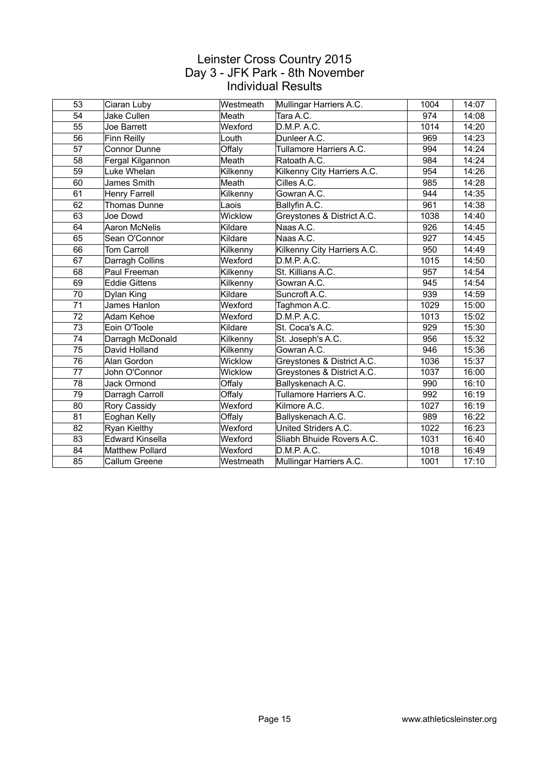| 53 | Ciaran Luby            | Westmeath | Mullingar Harriers A.C.     | 1004 | 14:07 |
|----|------------------------|-----------|-----------------------------|------|-------|
| 54 | Jake Cullen            | Meath     | Tara A.C.                   | 974  | 14:08 |
| 55 | Joe Barrett            | Wexford   | D.M.P. A.C.                 | 1014 | 14:20 |
| 56 | Finn Reilly            | Louth     | Dunleer A.C.                | 969  | 14:23 |
| 57 | Connor Dunne           | Offaly    | Tullamore Harriers A.C.     | 994  | 14:24 |
| 58 | Fergal Kilgannon       | Meath     | Ratoath A.C.                | 984  | 14:24 |
| 59 | Luke Whelan            | Kilkenny  | Kilkenny City Harriers A.C. | 954  | 14:26 |
| 60 | James Smith            | Meath     | Cilles A.C.                 | 985  | 14:28 |
| 61 | <b>Henry Farrell</b>   | Kilkenny  | Gowran A.C.                 | 944  | 14:35 |
| 62 | Thomas Dunne           | Laois     | Ballyfin A.C.               | 961  | 14:38 |
| 63 | Joe Dowd               | Wicklow   | Greystones & District A.C.  | 1038 | 14:40 |
| 64 | Aaron McNelis          | Kildare   | Naas A.C.                   | 926  | 14:45 |
| 65 | Sean O'Connor          | Kildare   | Naas A.C.                   | 927  | 14:45 |
| 66 | <b>Tom Carroll</b>     | Kilkenny  | Kilkenny City Harriers A.C. | 950  | 14:49 |
| 67 | Darragh Collins        | Wexford   | D.M.P. A.C.                 | 1015 | 14:50 |
| 68 | Paul Freeman           | Kilkenny  | St. Killians A.C.           | 957  | 14:54 |
| 69 | <b>Eddie Gittens</b>   | Kilkenny  | Gowran A.C.                 | 945  | 14:54 |
| 70 | Dylan King             | Kildare   | Suncroft A.C.               | 939  | 14:59 |
| 71 | James Hanlon           | Wexford   | Taghmon A.C.                | 1029 | 15:00 |
| 72 | Adam Kehoe             | Wexford   | D.M.P. A.C.                 | 1013 | 15:02 |
| 73 | Eoin O'Toole           | Kildare   | St. Coca's A.C.             | 929  | 15:30 |
| 74 | Darragh McDonald       | Kilkenny  | St. Joseph's A.C.           | 956  | 15:32 |
| 75 | David Holland          | Kilkenny  | Gowran A.C.                 | 946  | 15:36 |
| 76 | Alan Gordon            | Wicklow   | Greystones & District A.C.  | 1036 | 15:37 |
| 77 | John O'Connor          | Wicklow   | Greystones & District A.C.  | 1037 | 16:00 |
| 78 | <b>Jack Ormond</b>     | Offaly    | Ballyskenach A.C.           | 990  | 16:10 |
| 79 | Darragh Carroll        | Offaly    | Tullamore Harriers A.C.     | 992  | 16:19 |
| 80 | Rory Cassidy           | Wexford   | Kilmore A.C.                | 1027 | 16:19 |
| 81 | Eoghan Kelly           | Offaly    | Ballyskenach A.C.           | 989  | 16:22 |
| 82 | Ryan Kielthy           | Wexford   | United Striders A.C.        | 1022 | 16:23 |
| 83 | <b>Edward Kinsella</b> | Wexford   | Sliabh Bhuide Rovers A.C.   | 1031 | 16:40 |
| 84 | <b>Matthew Pollard</b> | Wexford   | D.M.P. A.C.                 | 1018 | 16:49 |
| 85 | Callum Greene          | Westmeath | Mullingar Harriers A.C.     | 1001 | 17:10 |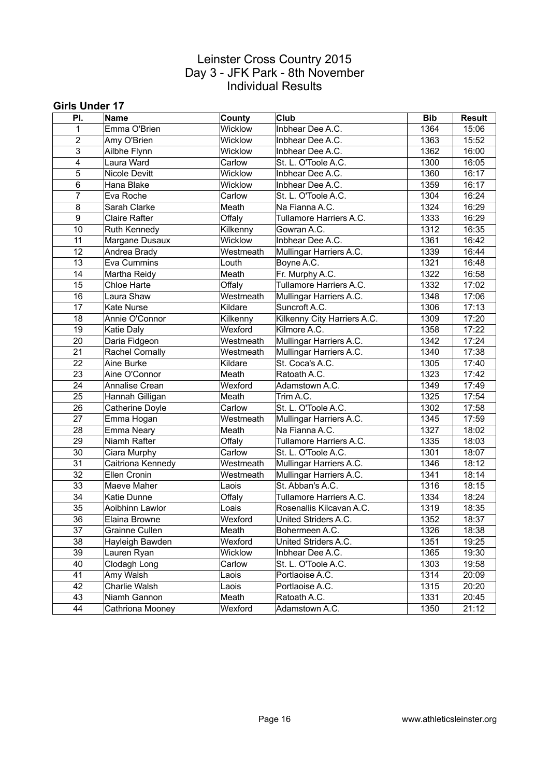#### **Girls Under 17**

| PI.                     | Name              | County    | <b>Club</b>                 | <b>Bib</b> | <b>Result</b> |
|-------------------------|-------------------|-----------|-----------------------------|------------|---------------|
| 1                       | Emma O'Brien      | Wicklow   | Inbhear Dee A.C.            | 1364       | 15:06         |
| $\boldsymbol{2}$        | Amy O'Brien       | Wicklow   | Inbhear Dee A.C.            | 1363       | 15:52         |
| $\overline{3}$          | Ailbhe Flynn      | Wicklow   | Inbhear Dee A.C.            | 1362       | 16:00         |
| $\overline{\mathbf{4}}$ | Laura Ward        | Carlow    | St. L. O'Toole A.C.         | 1300       | 16:05         |
| 5                       | Nicole Devitt     | Wicklow   | Inbhear Dee A.C.            | 1360       | 16:17         |
| 6                       | Hana Blake        | Wicklow   | Inbhear Dee A.C.            | 1359       | 16:17         |
| $\overline{7}$          | Eva Roche         | Carlow    | St. L. O'Toole A.C.         | 1304       | 16:24         |
| 8                       | Sarah Clarke      | Meath     | Na Fianna A.C.              | 1324       | 16:29         |
| 9                       | Claire Rafter     | Offaly    | Tullamore Harriers A.C.     | 1333       | 16:29         |
| 10                      | Ruth Kennedy      | Kilkenny  | Gowran A.C.                 | 1312       | 16:35         |
| 11                      | Margane Dusaux    | Wicklow   | Inbhear Dee A.C.            | 1361       | 16:42         |
| 12                      | Andrea Brady      | Westmeath | Mullingar Harriers A.C.     | 1339       | 16:44         |
| 13                      | Eva Cummins       | Louth     | Boyne A.C.                  | 1321       | 16:48         |
| 14                      | Martha Reidy      | Meath     | Fr. Murphy A.C.             | 1322       | 16:58         |
| 15                      | Chloe Harte       | Offaly    | Tullamore Harriers A.C.     | 1332       | 17:02         |
| 16                      | Laura Shaw        | Westmeath | Mullingar Harriers A.C.     | 1348       | 17:06         |
| 17                      | <b>Kate Nurse</b> | Kildare   | Suncroft A.C.               | 1306       | 17:13         |
| 18                      | Annie O'Connor    | Kilkenny  | Kilkenny City Harriers A.C. | 1309       | 17:20         |
| 19                      | Katie Daly        | Wexford   | Kilmore A.C.                | 1358       | 17:22         |
| 20                      | Daria Fidgeon     | Westmeath | Mullingar Harriers A.C.     | 1342       | 17:24         |
| 21                      | Rachel Cornally   | Westmeath | Mullingar Harriers A.C.     | 1340       | 17:38         |
| 22                      | Aine Burke        | Kildare   | St. Coca's A.C.             | 1305       | 17:40         |
| 23                      | Aine O'Connor     | Meath     | Ratoath A.C.                | 1323       | 17:42         |
| 24                      | Annalise Crean    | Wexford   | Adamstown A.C.              | 1349       | 17:49         |
| 25                      | Hannah Gilligan   | Meath     | Trim A.C.                   | 1325       | 17:54         |
| 26                      | Catherine Doyle   | Carlow    | St. L. O'Toole A.C.         | 1302       | 17:58         |
| 27                      | Emma Hogan        | Westmeath | Mullingar Harriers A.C.     | 1345       | 17:59         |
| 28                      | Emma Neary        | Meath     | Na Fianna A.C.              | 1327       | 18:02         |
| 29                      | Niamh Rafter      | Offaly    | Tullamore Harriers A.C.     | 1335       | 18:03         |
| 30                      | Ciara Murphy      | Carlow    | St. L. O'Toole A.C.         | 1301       | 18:07         |
| 31                      | Caitriona Kennedy | Westmeath | Mullingar Harriers A.C.     | 1346       | 18:12         |
| 32                      | Ellen Cronin      | Westmeath | Mullingar Harriers A.C.     | 1341       | 18:14         |
| 33                      | Maeve Maher       | Laois     | St. Abban's A.C.            | 1316       | 18:15         |
| 34                      | Katie Dunne       | Offaly    | Tullamore Harriers A.C.     | 1334       | 18:24         |
| 35                      | Aoibhinn Lawlor   | Loais     | Rosenallis Kilcavan A.C.    | 1319       | 18:35         |
| 36                      | Elaina Browne     | Wexford   | United Striders A.C.        | 1352       | 18:37         |
| $\overline{37}$         | Grainne Cullen    | Meath     | Bohermeen A.C.              | 1326       | 18:38         |
| 38                      | Hayleigh Bawden   | Wexford   | United Striders A.C.        | 1351       | 19:25         |
| 39                      | Lauren Ryan       | Wicklow   | Inbhear Dee A.C.            | 1365       | 19:30         |
| 40                      | Clodagh Long      | Carlow    | St. L. O'Toole A.C.         | 1303       | 19:58         |
| 41                      | Amy Walsh         | Laois     | Portlaoise A.C.             | 1314       | 20:09         |
| 42                      | Charlie Walsh     | Laois     | Portlaoise A.C.             | 1315       | 20:20         |
| 43                      | Niamh Gannon      | Meath     | Ratoath A.C.                | 1331       | 20:45         |
| 44                      | Cathriona Mooney  | Wexford   | Adamstown A.C.              | 1350       | 21:12         |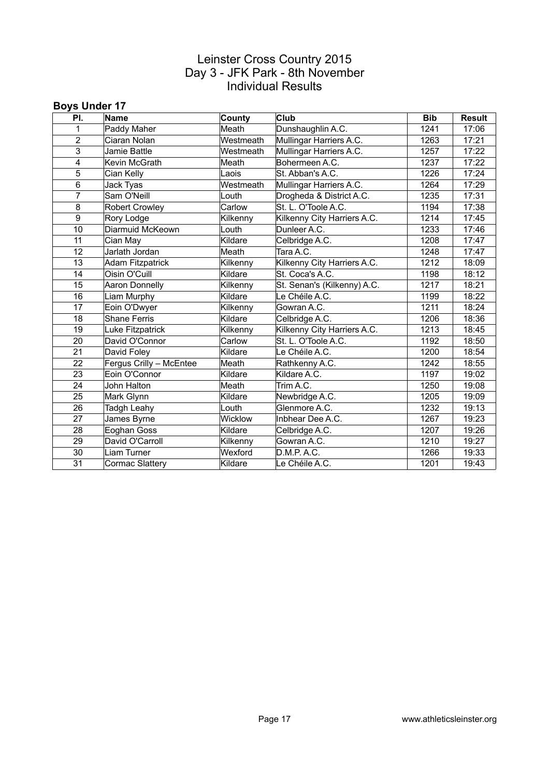#### **Boys Under 17**

| PI.            | <b>Name</b>             | County    | <b>Club</b>                 | <b>Bib</b> | <b>Result</b> |
|----------------|-------------------------|-----------|-----------------------------|------------|---------------|
| 1              | Paddy Maher             | Meath     | Dunshaughlin A.C.           | 1241       | 17:06         |
| $\overline{2}$ | Ciaran Nolan            | Westmeath | Mullingar Harriers A.C.     | 1263       | 17:21         |
| $\overline{3}$ | Jamie Battle            | Westmeath | Mullingar Harriers A.C.     | 1257       | 17:22         |
| 4              | Kevin McGrath           | Meath     | Bohermeen A.C.              | 1237       | 17:22         |
| 5              | Cian Kelly              | Laois     | St. Abban's A.C.            | 1226       | 17:24         |
| 6              | Jack Tyas               | Westmeath | Mullingar Harriers A.C.     | 1264       | 17:29         |
| 7              | Sam O'Neill             | Louth     | Drogheda & District A.C.    | 1235       | 17:31         |
| 8              | <b>Robert Crowley</b>   | Carlow    | St. L. O'Toole A.C.         | 1194       | 17:38         |
| 9              | Rory Lodge              | Kilkenny  | Kilkenny City Harriers A.C. | 1214       | 17:45         |
| 10             | Diarmuid McKeown        | Louth     | Dunleer A.C.                | 1233       | 17:46         |
| 11             | Cian May                | Kildare   | Celbridge A.C.              | 1208       | 17:47         |
| 12             | Jarlath Jordan          | Meath     | Tara A.C.                   | 1248       | 17:47         |
| 13             | <b>Adam Fitzpatrick</b> | Kilkenny  | Kilkenny City Harriers A.C. | 1212       | 18:09         |
| 14             | Oisin O'Cuill           | Kildare   | St. Coca's A.C.             | 1198       | 18:12         |
| 15             | Aaron Donnelly          | Kilkenny  | St. Senan's (Kilkenny) A.C. | 1217       | 18:21         |
| 16             | Liam Murphy             | Kildare   | Le Chéile A.C.              | 1199       | 18:22         |
| 17             | Eoin O'Dwyer            | Kilkenny  | Gowran A.C.                 | 1211       | 18:24         |
| 18             | <b>Shane Ferris</b>     | Kildare   | Celbridge A.C.              | 1206       | 18:36         |
| 19             | Luke Fitzpatrick        | Kilkenny  | Kilkenny City Harriers A.C. | 1213       | 18:45         |
| 20             | David O'Connor          | Carlow    | St. L. O'Toole A.C.         | 1192       | 18:50         |
| 21             | David Foley             | Kildare   | Le Chéile A.C.              | 1200       | 18:54         |
| 22             | Fergus Crilly - McEntee | Meath     | Rathkenny A.C.              | 1242       | 18:55         |
| 23             | Eoin O'Connor           | Kildare   | Kildare A.C.                | 1197       | 19:02         |
| 24             | John Halton             | Meath     | Trim A.C.                   | 1250       | 19:08         |
| 25             | Mark Glynn              | Kildare   | Newbridge A.C.              | 1205       | 19:09         |
| 26             | Tadgh Leahy             | Louth     | Glenmore A.C.               | 1232       | 19:13         |
| 27             | James Byrne             | Wicklow   | Inbhear Dee A.C.            | 1267       | 19:23         |
| 28             | Eoghan Goss             | Kildare   | Celbridge A.C.              | 1207       | 19:26         |
| 29             | David O'Carroll         | Kilkenny  | Gowran A.C.                 | 1210       | 19:27         |
| 30             | Liam Turner             | Wexford   | D.M.P. A.C.                 | 1266       | 19:33         |
| 31             | Cormac Slattery         | Kildare   | Le Chéile A.C.              | 1201       | 19:43         |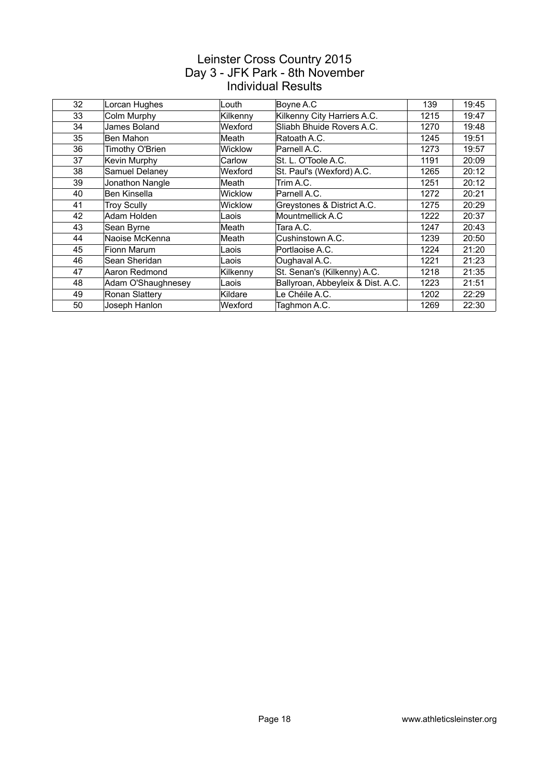| 32 | Lorcan Hughes      | Louth          | Boyne A.C                         | 139  | 19:45 |
|----|--------------------|----------------|-----------------------------------|------|-------|
| 33 | Colm Murphy        | Kilkenny       | Kilkenny City Harriers A.C.       | 1215 | 19:47 |
| 34 | James Boland       | Wexford        | Sliabh Bhuide Rovers A.C.         | 1270 | 19:48 |
| 35 | Ben Mahon          | Meath          | Ratoath A.C.                      | 1245 | 19:51 |
| 36 | Timothy O'Brien    | <b>Wicklow</b> | Parnell A.C.                      | 1273 | 19:57 |
| 37 | Kevin Murphy       | Carlow         | St. L. O'Toole A.C.               | 1191 | 20:09 |
| 38 | Samuel Delaney     | Wexford        | St. Paul's (Wexford) A.C.         | 1265 | 20:12 |
| 39 | Jonathon Nangle    | Meath          | Trim A.C.                         | 1251 | 20:12 |
| 40 | Ben Kinsella       | <b>Wicklow</b> | Parnell A.C.                      | 1272 | 20:21 |
| 41 | <b>Troy Scully</b> | <b>Wicklow</b> | Greystones & District A.C.        | 1275 | 20:29 |
| 42 | Adam Holden        | Laois          | Mountmellick A.C                  | 1222 | 20:37 |
| 43 | Sean Byrne         | Meath          | Tara A.C.                         | 1247 | 20:43 |
| 44 | Naoise McKenna     | Meath          | Cushinstown A.C.                  | 1239 | 20:50 |
| 45 | Fionn Marum        | Laois          | Portlaoise A.C.                   | 1224 | 21:20 |
| 46 | Sean Sheridan      | Laois          | Oughaval A.C.                     | 1221 | 21:23 |
| 47 | Aaron Redmond      | Kilkenny       | St. Senan's (Kilkenny) A.C.       | 1218 | 21:35 |
| 48 | Adam O'Shaughnesey | Laois          | Ballyroan, Abbeyleix & Dist. A.C. | 1223 | 21:51 |
| 49 | Ronan Slattery     | Kildare        | Le Chéile A.C.                    | 1202 | 22:29 |
| 50 | Joseph Hanlon      | Wexford        | Taghmon A.C.                      | 1269 | 22:30 |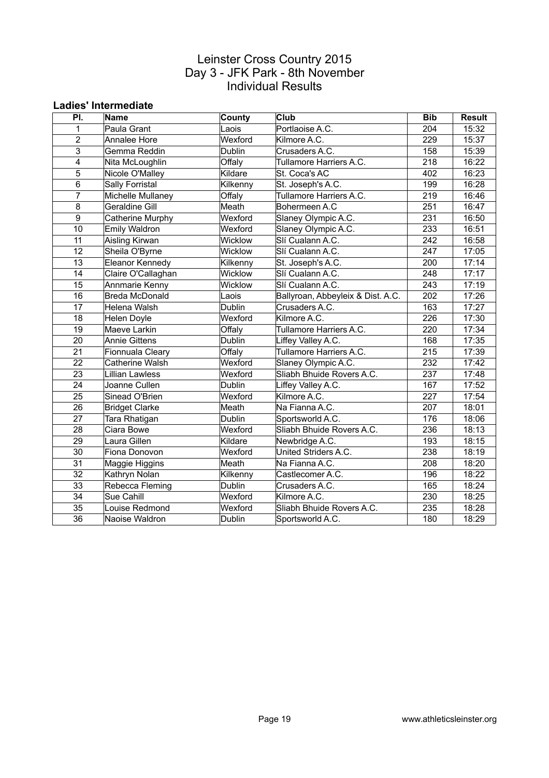#### **Ladies' Intermediate**

| PI.                     | Name                  | County   | <b>Club</b>                       | <b>Bib</b>       | <b>Result</b> |
|-------------------------|-----------------------|----------|-----------------------------------|------------------|---------------|
| 1                       | Paula Grant           | Laois    | Portlaoise A.C.                   | 204              | 15:32         |
| $\overline{2}$          | Annalee Hore          | Wexford  | Kilmore A.C.                      | 229              | 15:37         |
| 3                       | Gemma Reddin          | Dublin   | Crusaders A.C.                    | 158              | 15:39         |
| $\overline{\mathbf{4}}$ | Nita McLoughlin       | Offaly   | Tullamore Harriers A.C.           | 218              | 16:22         |
| $\overline{5}$          | Nicole O'Malley       | Kildare  | St. Coca's AC                     | 402              | 16:23         |
| 6                       | Sally Forristal       | Kilkenny | St. Joseph's A.C.                 | 199              | 16:28         |
| $\overline{7}$          | Michelle Mullaney     | Offaly   | Tullamore Harriers A.C.           | 219              | 16:46         |
| 8                       | Geraldine Gill        | Meath    | Bohermeen A.C                     | 251              | 16:47         |
| $\overline{9}$          | Catherine Murphy      | Wexford  | Slaney Olympic A.C.               | 231              | 16:50         |
| 10                      | Emily Waldron         | Wexford  | Slaney Olympic A.C.               | 233              | 16:51         |
| 11                      | Aisling Kirwan        | Wicklow  | Slí Cualann A.C.                  | 242              | 16:58         |
| 12                      | Sheila O'Byrne        | Wicklow  | Slí Cualann A.C.                  | 247              | 17:05         |
| 13                      | Eleanor Kennedy       | Kilkenny | St. Joseph's A.C.                 | 200              | 17:14         |
| 14                      | Claire O'Callaghan    | Wicklow  | Slí Cualann A.C.                  | 248              | 17:17         |
| 15                      | Annmarie Kenny        | Wicklow  | Slí Cualann A.C.                  | 243              | 17:19         |
| 16                      | Breda McDonald        | Laois    | Ballyroan, Abbeyleix & Dist. A.C. | 202              | 17:26         |
| 17                      | Helena Walsh          | Dublin   | Crusaders A.C.                    | 163              | 17:27         |
| 18                      | Helen Doyle           | Wexford  | Kilmore A.C.                      | 226              | 17:30         |
| 19                      | Maeve Larkin          | Offaly   | Tullamore Harriers A.C.           | 220              | 17:34         |
| 20                      | <b>Annie Gittens</b>  | Dublin   | Liffey Valley A.C.                | 168              | 17:35         |
| 21                      | Fionnuala Cleary      | Offaly   | Tullamore Harriers A.C.           | 215              | 17:39         |
| 22                      | Catherine Walsh       | Wexford  | Slaney Olympic A.C.               | 232              | 17:42         |
| 23                      | Lillian Lawless       | Wexford  | Sliabh Bhuide Rovers A.C.         | 237              | 17:48         |
| 24                      | Joanne Cullen         | Dublin   | Liffey Valley A.C.                | 167              | 17:52         |
| $\overline{25}$         | Sinead O'Brien        | Wexford  | Kilmore A.C.                      | $\overline{227}$ | 17:54         |
| 26                      | <b>Bridget Clarke</b> | Meath    | Na Fianna A.C.                    | 207              | 18:01         |
| 27                      | Tara Rhatigan         | Dublin   | Sportsworld A.C.                  | 176              | 18:06         |
| 28                      | Ciara Bowe            | Wexford  | Sliabh Bhuide Rovers A.C.         | 236              | 18:13         |
| 29                      | Laura Gillen          | Kildare  | Newbridge A.C.                    | 193              | 18:15         |
| 30                      | Fiona Donovon         | Wexford  | United Striders A.C.              | 238              | 18:19         |
| 31                      | Maggie Higgins        | Meath    | Na Fianna A.C.                    | 208              | 18:20         |
| 32                      | Kathryn Nolan         | Kilkenny | Castlecomer A.C.                  | 196              | 18:22         |
| 33                      | Rebecca Fleming       | Dublin   | Crusaders A.C.                    | 165              | 18:24         |
| 34                      | Sue Cahill            | Wexford  | Kilmore A.C.                      | 230              | 18:25         |
| 35                      | Louise Redmond        | Wexford  | Sliabh Bhuide Rovers A.C.         | 235              | 18:28         |
| 36                      | Naoise Waldron        | Dublin   | Sportsworld A.C.                  | 180              | 18:29         |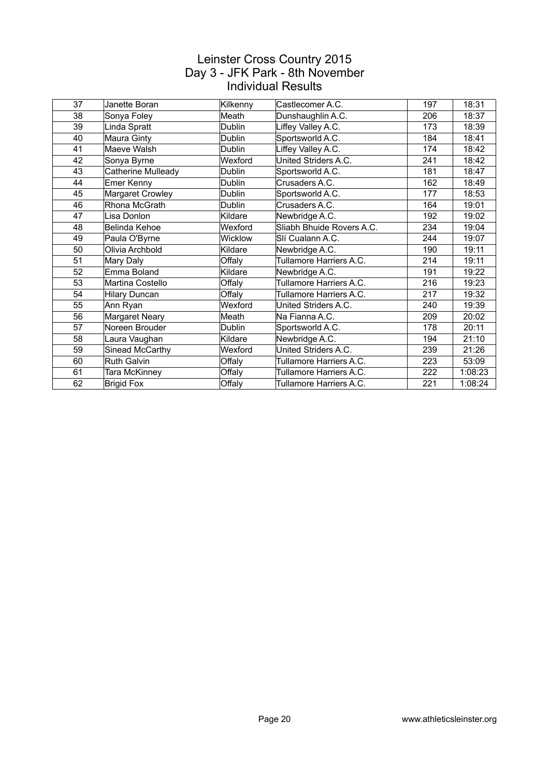| 37 | Janette Boran      | Kilkenny      | Castlecomer A.C.          | 197 | 18:31   |
|----|--------------------|---------------|---------------------------|-----|---------|
| 38 | Sonya Foley        | Meath         | Dunshaughlin A.C.         | 206 | 18:37   |
| 39 | Linda Spratt       | Dublin        | Liffey Valley A.C.        | 173 | 18:39   |
| 40 | Maura Ginty        | Dublin        | Sportsworld A.C.          | 184 | 18:41   |
| 41 | Maeve Walsh        | <b>Dublin</b> | Liffey Valley A.C.        | 174 | 18:42   |
| 42 | Sonya Byrne        | Wexford       | United Striders A.C.      | 241 | 18:42   |
| 43 | Catherine Mulleady | Dublin        | Sportsworld A.C.          | 181 | 18:47   |
| 44 | Emer Kenny         | Dublin        | Crusaders A.C.            | 162 | 18:49   |
| 45 | Margaret Crowley   | Dublin        | Sportsworld A.C.          | 177 | 18:53   |
| 46 | Rhona McGrath      | Dublin        | Crusaders A.C.            | 164 | 19:01   |
| 47 | Lisa Donlon        | Kildare       | Newbridge A.C.            | 192 | 19:02   |
| 48 | Belinda Kehoe      | Wexford       | Sliabh Bhuide Rovers A.C. | 234 | 19:04   |
| 49 | Paula O'Byrne      | Wicklow       | Slí Cualann A.C.          | 244 | 19:07   |
| 50 | Olivia Archbold    | Kildare       | Newbridge A.C.            | 190 | 19:11   |
| 51 | Mary Daly          | Offaly        | Tullamore Harriers A.C.   | 214 | 19:11   |
| 52 | Emma Boland        | Kildare       | Newbridge A.C.            | 191 | 19:22   |
| 53 | Martina Costello   | Offaly        | Tullamore Harriers A.C.   | 216 | 19:23   |
| 54 | Hilary Duncan      | Offaly        | Tullamore Harriers A.C.   | 217 | 19:32   |
| 55 | Ann Ryan           | Wexford       | United Striders A.C.      | 240 | 19:39   |
| 56 | Margaret Neary     | Meath         | Na Fianna A.C.            | 209 | 20:02   |
| 57 | Noreen Brouder     | Dublin        | Sportsworld A.C.          | 178 | 20:11   |
| 58 | Laura Vaughan      | Kildare       | Newbridge A.C.            | 194 | 21:10   |
| 59 | Sinead McCarthy    | Wexford       | United Striders A.C.      | 239 | 21:26   |
| 60 | <b>Ruth Galvin</b> | Offaly        | Tullamore Harriers A.C.   | 223 | 53:09   |
| 61 | Tara McKinney      | Offaly        | Tullamore Harriers A.C.   | 222 | 1:08:23 |
| 62 | <b>Brigid Fox</b>  | Offaly        | Tullamore Harriers A.C.   | 221 | 1:08:24 |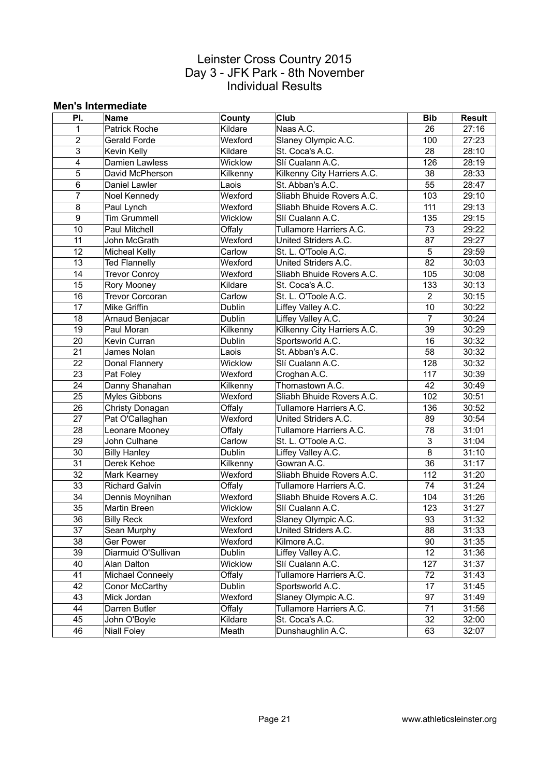#### **Men's Intermediate**

| PI.            | Name                   | County         | <b>Club</b>                 | <b>Bib</b>     | <b>Result</b> |
|----------------|------------------------|----------------|-----------------------------|----------------|---------------|
| $\mathbf{1}$   | <b>Patrick Roche</b>   | Kildare        | Naas A.C.                   | 26             | 27:16         |
| $\overline{2}$ | Gerald Forde           | Wexford        | Slaney Olympic A.C.         | 100            | 27:23         |
| 3              | Kevin Kelly            | Kildare        | St. Coca's A.C.             | 28             | 28:10         |
| 4              | Damien Lawless         | Wicklow        | Slí Cualann A.C.            | 126            | 28:19         |
| 5              | David McPherson        | Kilkenny       | Kilkenny City Harriers A.C. | 38             | 28:33         |
| 6              | Daniel Lawler          | Laois          | St. Abban's A.C.            | 55             | 28:47         |
| $\overline{7}$ | Noel Kennedy           | Wexford        | Sliabh Bhuide Rovers A.C.   | 103            | 29:10         |
| 8              | Paul Lynch             | Wexford        | Sliabh Bhuide Rovers A.C.   | 111            | 29:13         |
| 9              | <b>Tim Grummell</b>    | Wicklow        | Slí Cualann A.C.            | 135            | 29:15         |
| 10             | Paul Mitchell          | Offaly         | Tullamore Harriers A.C.     | 73             | 29:22         |
| 11             | John McGrath           | Wexford        | United Striders A.C.        | 87             | 29:27         |
| 12             | Micheal Kelly          | Carlow         | St. L. O'Toole A.C.         | 5              | 29:59         |
| 13             | <b>Ted Flannelly</b>   | Wexford        | United Striders A.C.        | 82             | 30:03         |
| 14             | <b>Trevor Conroy</b>   | Wexford        | Sliabh Bhuide Rovers A.C.   | 105            | 30:08         |
| 15             | Rory Mooney            | Kildare        | St. Coca's A.C.             | 133            | 30:13         |
| 16             | <b>Trevor Corcoran</b> | Carlow         | St. L. O'Toole A.C.         | $\overline{2}$ | 30:15         |
| 17             | Mike Griffin           | Dublin         | Liffey Valley A.C.          | 10             | 30:22         |
| 18             | Arnaud Benjacar        | <b>Dublin</b>  | Liffey Valley A.C.          | $\overline{7}$ | 30:24         |
| 19             | Paul Moran             | Kilkenny       | Kilkenny City Harriers A.C. | 39             | 30:29         |
| 20             | Kevin Curran           | Dublin         | Sportsworld A.C.            | 16             | 30:32         |
| 21             | James Nolan            | Laois          | St. Abban's A.C.            | 58             | 30:32         |
| 22             | Donal Flannery         | Wicklow        | Slí Cualann A.C.            | 128            | 30:32         |
| 23             | Pat Foley              | Wexford        | Croghan A.C.                | 117            | 30:39         |
| 24             | Danny Shanahan         | Kilkenny       | Thomastown A.C.             | 42             | 30:49         |
| 25             | Myles Gibbons          | Wexford        | Sliabh Bhuide Rovers A.C.   | 102            | 30:51         |
| 26             | Christy Donagan        | Offaly         | Tullamore Harriers A.C.     | 136            | 30:52         |
| 27             | Pat O'Callaghan        | Wexford        | United Striders A.C.        | 89             | 30:54         |
| 28             | Leonare Mooney         | Offaly         | Tullamore Harriers A.C.     | 78             | 31:01         |
| 29             | John Culhane           | Carlow         | St. L. O'Toole A.C.         | 3              | 31:04         |
| 30             | <b>Billy Hanley</b>    | Dublin         | Liffey Valley A.C.          | 8              | 31:10         |
| 31             | Derek Kehoe            | Kilkenny       | Gowran A.C.                 | 36             | 31:17         |
| 32             | Mark Kearney           | Wexford        | Sliabh Bhuide Rovers A.C.   | 112            | 31:20         |
| 33             | <b>Richard Galvin</b>  | Offaly         | Tullamore Harriers A.C.     | 74             | 31:24         |
| 34             | Dennis Moynihan        | Wexford        | Sliabh Bhuide Rovers A.C.   | 104            | 31:26         |
| 35             | Martin Breen           | <b>Wicklow</b> | Slí Cualann A.C.            | 123            | 31:27         |
| 36             | <b>Billy Reck</b>      | Wexford        | Slaney Olympic A.C.         | 93             | 31:32         |
| 37             | Sean Murphy            | Wexford        | United Striders A.C.        | 88             | 31:33         |
| 38             | Ger Power              | Wexford        | Kilmore A.C.                | 90             | 31:35         |
| 39             | Diarmuid O'Sullivan    | Dublin         | Liffey Valley A.C.          | 12             | 31:36         |
| 40             | Alan Dalton            | Wicklow        | Slí Cualann A.C.            | 127            | 31:37         |
| 41             | Michael Conneely       | Offaly         | Tullamore Harriers A.C.     | 72             | 31:43         |
| 42             | Conor McCarthy         | Dublin         | Sportsworld A.C.            | 17             | 31:45         |
| 43             | Mick Jordan            | Wexford        | Slaney Olympic A.C.         | 97             | 31:49         |
| 44             | Darren Butler          | Offaly         | Tullamore Harriers A.C.     | 71             | 31:56         |
| 45             | John O'Boyle           | Kildare        | St. Coca's A.C.             | 32             | 32:00         |
| 46             | Niall Foley            | Meath          | Dunshaughlin A.C.           | 63             | 32:07         |